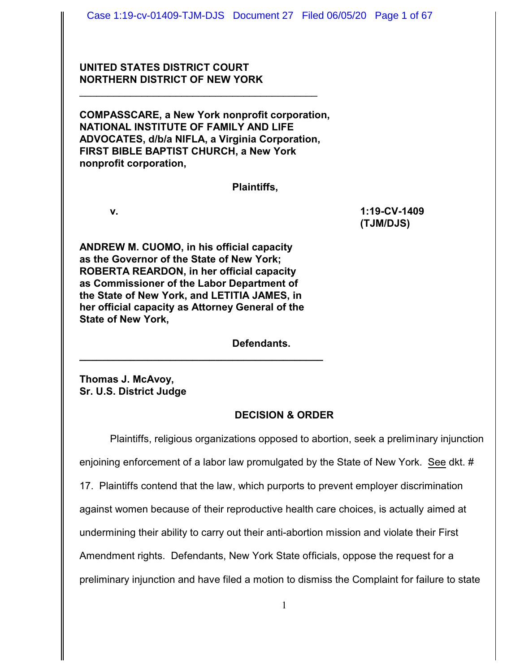# **UNITED STATES DISTRICT COURT NORTHERN DISTRICT OF NEW YORK**

**COMPASSCARE, a New York nonprofit corporation, NATIONAL INSTITUTE OF FAMILY AND LIFE ADVOCATES, d/b/a NIFLA, a Virginia Corporation, FIRST BIBLE BAPTIST CHURCH, a New York nonprofit corporation,**

\_\_\_\_\_\_\_\_\_\_\_\_\_\_\_\_\_\_\_\_\_\_\_\_\_\_\_\_\_\_\_\_\_\_\_\_\_\_\_\_\_\_

**Plaintiffs,**

**v. 1:19-CV-1409 (TJM/DJS)**

**ANDREW M. CUOMO, in his official capacity as the Governor of the State of New York; ROBERTA REARDON, in her official capacity as Commissioner of the Labor Department of the State of New York, and LETITIA JAMES, in her official capacity as Attorney General of the State of New York,**

**\_\_\_\_\_\_\_\_\_\_\_\_\_\_\_\_\_\_\_\_\_\_\_\_\_\_\_\_\_\_\_\_\_\_\_\_\_\_\_\_\_\_\_**

**Defendants.**

**Thomas J. McAvoy, Sr. U.S. District Judge**

## **DECISION & ORDER**

Plaintiffs, religious organizations opposed to abortion, seek a preliminary injunction enjoining enforcement of a labor law promulgated by the State of New York. See dkt. # 17. Plaintiffs contend that the law, which purports to prevent employer discrimination against women because of their reproductive health care choices, is actually aimed at undermining their ability to carry out their anti-abortion mission and violate their First Amendment rights. Defendants, New York State officials, oppose the request for a preliminary injunction and have filed a motion to dismiss the Complaint for failure to state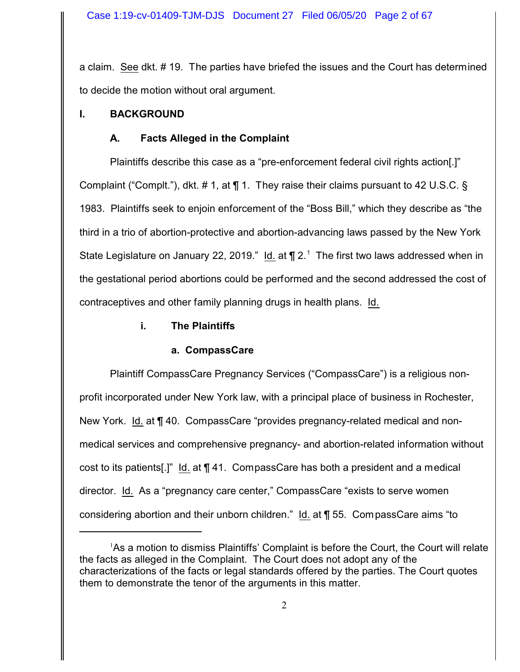a claim. See dkt. # 19. The parties have briefed the issues and the Court has determined to decide the motion without oral argument.

## **I. BACKGROUND**

# **A. Facts Alleged in the Complaint**

Plaintiffs describe this case as a "pre-enforcement federal civil rights action[.]" Complaint ("Complt."), dkt. # 1, at ¶ 1. They raise their claims pursuant to 42 U.S.C. § 1983. Plaintiffs seek to enjoin enforcement of the "Boss Bill," which they describe as "the third in a trio of abortion-protective and abortion-advancing laws passed by the New York State Legislature on January 22, 2019."  $Id.$  at  $\P$  2.<sup>1</sup> The first two laws addressed when in the gestational period abortions could be performed and the second addressed the cost of contraceptives and other family planning drugs in health plans. Id.

# **i. The Plaintiffs**

# **a. CompassCare**

Plaintiff CompassCare Pregnancy Services ("CompassCare") is a religious nonprofit incorporated under New York law, with a principal place of business in Rochester, New York. Id. at ¶ 40. CompassCare "provides pregnancy-related medical and nonmedical services and comprehensive pregnancy- and abortion-related information without cost to its patients[.]" Id. at ¶ 41. CompassCare has both a president and a medical director. Id. As a "pregnancy care center," CompassCare "exists to serve women considering abortion and their unborn children." Id. at ¶ 55. CompassCare aims "to

<sup>&</sup>lt;sup>1</sup>As a motion to dismiss Plaintiffs' Complaint is before the Court, the Court will relate the facts as alleged in the Complaint. The Court does not adopt any of the characterizations of the facts or legal standards offered by the parties. The Court quotes them to demonstrate the tenor of the arguments in this matter.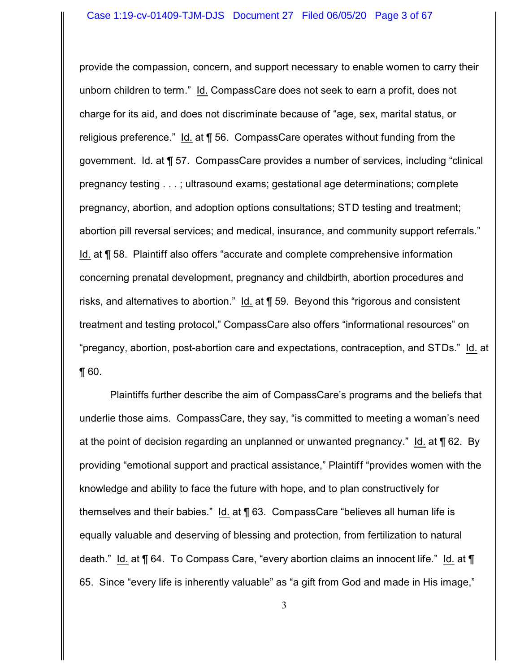provide the compassion, concern, and support necessary to enable women to carry their unborn children to term." Id. CompassCare does not seek to earn a profit, does not charge for its aid, and does not discriminate because of "age, sex, marital status, or religious preference." Id. at ¶ 56. CompassCare operates without funding from the government. Id. at ¶ 57. CompassCare provides a number of services, including "clinical pregnancy testing . . . ; ultrasound exams; gestational age determinations; complete pregnancy, abortion, and adoption options consultations; STD testing and treatment; abortion pill reversal services; and medical, insurance, and community support referrals." Id. at ¶ 58. Plaintiff also offers "accurate and complete comprehensive information concerning prenatal development, pregnancy and childbirth, abortion procedures and risks, and alternatives to abortion." Id. at **[59. Beyond this "rigorous and consistent** treatment and testing protocol," CompassCare also offers "informational resources" on "pregancy, abortion, post-abortion care and expectations, contraception, and STDs." Id. at ¶ 60.

Plaintiffs further describe the aim of CompassCare's programs and the beliefs that underlie those aims. CompassCare, they say, "is committed to meeting a woman's need at the point of decision regarding an unplanned or unwanted pregnancy." Id. at ¶ 62. By providing "emotional support and practical assistance," Plaintiff "provides women with the knowledge and ability to face the future with hope, and to plan constructively for themselves and their babies." Id. at ¶ 63. CompassCare "believes all human life is equally valuable and deserving of blessing and protection, from fertilization to natural death." Id. at ¶ 64. To Compass Care, "every abortion claims an innocent life." Id. at ¶ 65. Since "every life is inherently valuable" as "a gift from God and made in His image,"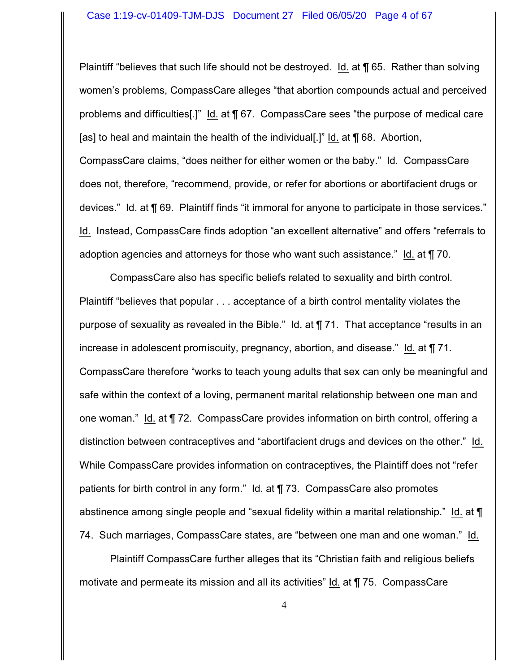Plaintiff "believes that such life should not be destroyed. Id. at ¶ 65. Rather than solving women's problems, CompassCare alleges "that abortion compounds actual and perceived problems and difficulties[.]" Id. at ¶ 67. CompassCare sees "the purpose of medical care [as] to heal and maintain the health of the individual[.]" Id. at  $\P$  68. Abortion, CompassCare claims, "does neither for either women or the baby." Id. CompassCare does not, therefore, "recommend, provide, or refer for abortions or abortifacient drugs or devices." Id. at ¶ 69. Plaintiff finds "it immoral for anyone to participate in those services." Id. Instead, CompassCare finds adoption "an excellent alternative" and offers "referrals to adoption agencies and attorneys for those who want such assistance." Id. at ¶ 70.

CompassCare also has specific beliefs related to sexuality and birth control. Plaintiff "believes that popular . . . acceptance of a birth control mentality violates the purpose of sexuality as revealed in the Bible." Id. at ¶ 71. That acceptance "results in an increase in adolescent promiscuity, pregnancy, abortion, and disease." Id. at ¶ 71. CompassCare therefore "works to teach young adults that sex can only be meaningful and safe within the context of a loving, permanent marital relationship between one man and one woman." Id. at ¶ 72. CompassCare provides information on birth control, offering a distinction between contraceptives and "abortifacient drugs and devices on the other." Id. While CompassCare provides information on contraceptives, the Plaintiff does not "refer patients for birth control in any form." Id. at ¶ 73. CompassCare also promotes abstinence among single people and "sexual fidelity within a marital relationship." Id. at ¶ 74. Such marriages, CompassCare states, are "between one man and one woman." Id.

Plaintiff CompassCare further alleges that its "Christian faith and religious beliefs motivate and permeate its mission and all its activities" Id. at ¶ 75. CompassCare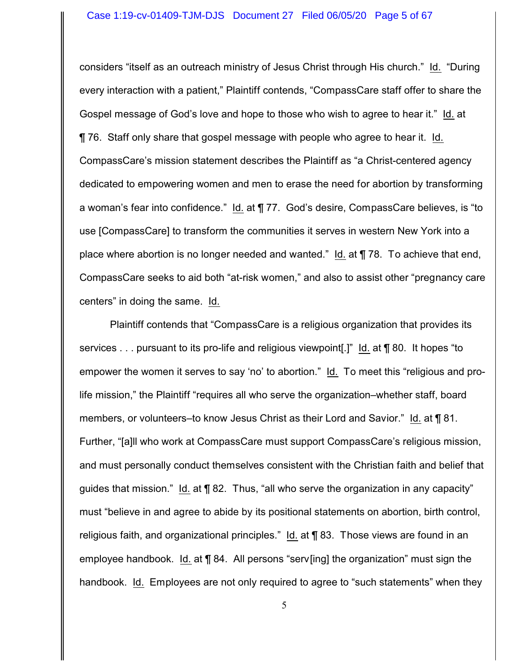#### Case 1:19-cv-01409-TJM-DJS Document 27 Filed 06/05/20 Page 5 of 67

considers "itself as an outreach ministry of Jesus Christ through His church." Id. "During every interaction with a patient," Plaintiff contends, "CompassCare staff offer to share the Gospel message of God's love and hope to those who wish to agree to hear it." Id. at ¶ 76. Staff only share that gospel message with people who agree to hear it. Id. CompassCare's mission statement describes the Plaintiff as "a Christ-centered agency dedicated to empowering women and men to erase the need for abortion by transforming a woman's fear into confidence." Id. at ¶ 77. God's desire, CompassCare believes, is "to use [CompassCare] to transform the communities it serves in western New York into a place where abortion is no longer needed and wanted." Id. at ¶ 78. To achieve that end, CompassCare seeks to aid both "at-risk women," and also to assist other "pregnancy care centers" in doing the same. Id.

Plaintiff contends that "CompassCare is a religious organization that provides its services . . . pursuant to its pro-life and religious viewpoint[.]" Id. at ¶ 80. It hopes "to empower the women it serves to say 'no' to abortion." Id. To meet this "religious and prolife mission," the Plaintiff "requires all who serve the organization–whether staff, board members, or volunteers–to know Jesus Christ as their Lord and Savior." Id. at ¶ 81. Further, "[a]ll who work at CompassCare must support CompassCare's religious mission, and must personally conduct themselves consistent with the Christian faith and belief that guides that mission." Id. at ¶ 82. Thus, "all who serve the organization in any capacity" must "believe in and agree to abide by its positional statements on abortion, birth control, religious faith, and organizational principles." Id. at ¶ 83. Those views are found in an employee handbook. Id. at ¶ 84. All persons "serv[ing] the organization" must sign the handbook. Id. Employees are not only required to agree to "such statements" when they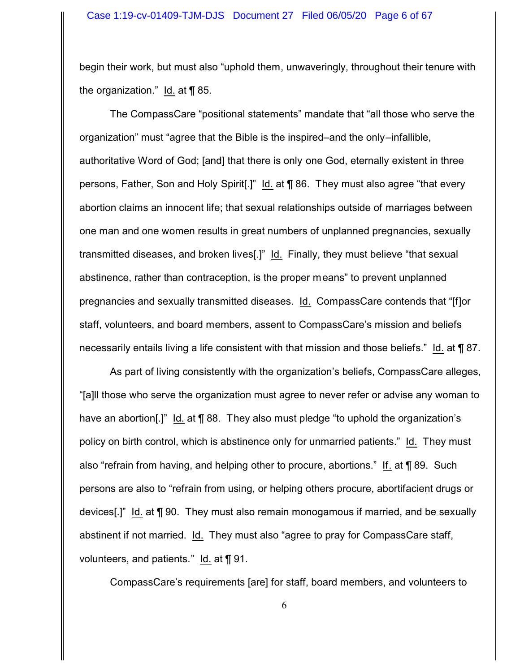begin their work, but must also "uphold them, unwaveringly, throughout their tenure with the organization." Id. at ¶ 85.

The CompassCare "positional statements" mandate that "all those who serve the organization" must "agree that the Bible is the inspired–and the only–infallible, authoritative Word of God; [and] that there is only one God, eternally existent in three persons, Father, Son and Holy Spirit[.]" Id. at ¶ 86. They must also agree "that every abortion claims an innocent life; that sexual relationships outside of marriages between one man and one women results in great numbers of unplanned pregnancies, sexually transmitted diseases, and broken lives[.]" Id. Finally, they must believe "that sexual abstinence, rather than contraception, is the proper means" to prevent unplanned pregnancies and sexually transmitted diseases. Id. CompassCare contends that "[f]or staff, volunteers, and board members, assent to CompassCare's mission and beliefs necessarily entails living a life consistent with that mission and those beliefs." Id. at ¶ 87.

As part of living consistently with the organization's beliefs, CompassCare alleges, "[a]ll those who serve the organization must agree to never refer or advise any woman to have an abortion[.]" Id. at **\otall** 88. They also must pledge "to uphold the organization's policy on birth control, which is abstinence only for unmarried patients." Id. They must also "refrain from having, and helping other to procure, abortions." If. at ¶ 89. Such persons are also to "refrain from using, or helping others procure, abortifacient drugs or devices[.]" Id. at ¶ 90. They must also remain monogamous if married, and be sexually abstinent if not married. Id. They must also "agree to pray for CompassCare staff, volunteers, and patients." Id. at ¶ 91.

CompassCare's requirements [are] for staff, board members, and volunteers to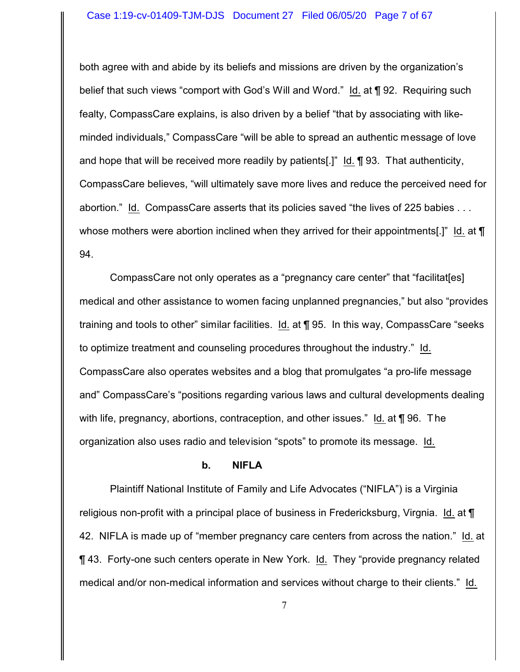both agree with and abide by its beliefs and missions are driven by the organization's belief that such views "comport with God's Will and Word." Id. at ¶ 92. Requiring such fealty, CompassCare explains, is also driven by a belief "that by associating with likeminded individuals," CompassCare "will be able to spread an authentic message of love and hope that will be received more readily by patients[.]" Id. ¶ 93. That authenticity, CompassCare believes, "will ultimately save more lives and reduce the perceived need for abortion." Id. CompassCare asserts that its policies saved "the lives of 225 babies . . . whose mothers were abortion inclined when they arrived for their appointments[.]" Id. at  $\P$ 94.

CompassCare not only operates as a "pregnancy care center" that "facilitat[es] medical and other assistance to women facing unplanned pregnancies," but also "provides training and tools to other" similar facilities. Id. at ¶ 95. In this way, CompassCare "seeks to optimize treatment and counseling procedures throughout the industry." Id. CompassCare also operates websites and a blog that promulgates "a pro-life message and" CompassCare's "positions regarding various laws and cultural developments dealing with life, pregnancy, abortions, contraception, and other issues." Id. at ¶ 96. The organization also uses radio and television "spots" to promote its message. Id.

#### **b. NIFLA**

Plaintiff National Institute of Family and Life Advocates ("NIFLA") is a Virginia religious non-profit with a principal place of business in Fredericksburg, Virgnia. Id. at ¶ 42. NIFLA is made up of "member pregnancy care centers from across the nation." Id. at ¶ 43. Forty-one such centers operate in New York. Id. They "provide pregnancy related medical and/or non-medical information and services without charge to their clients." Id.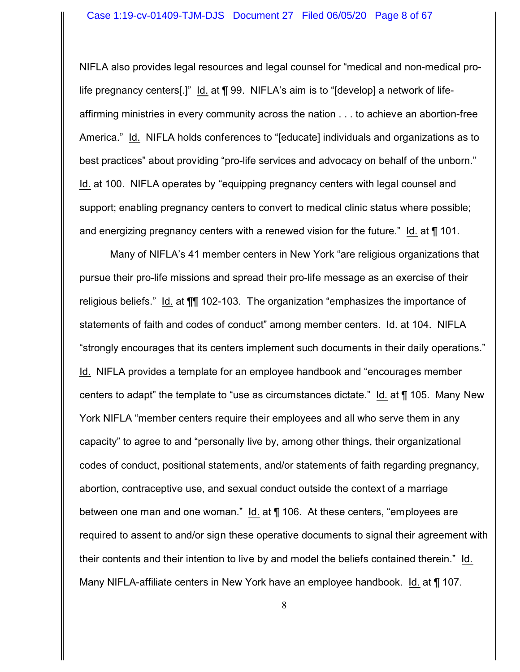NIFLA also provides legal resources and legal counsel for "medical and non-medical prolife pregnancy centers[.]" Id. at ¶ 99. NIFLA's aim is to "[develop] a network of lifeaffirming ministries in every community across the nation . . . to achieve an abortion-free America." Id. NIFLA holds conferences to "[educate] individuals and organizations as to best practices" about providing "pro-life services and advocacy on behalf of the unborn." Id. at 100. NIFLA operates by "equipping pregnancy centers with legal counsel and support; enabling pregnancy centers to convert to medical clinic status where possible; and energizing pregnancy centers with a renewed vision for the future." Id. at  $\P$  101.

Many of NIFLA's 41 member centers in New York "are religious organizations that pursue their pro-life missions and spread their pro-life message as an exercise of their religious beliefs." Id. at  $\P\P$  102-103. The organization "emphasizes the importance of statements of faith and codes of conduct" among member centers. Id. at 104. NIFLA "strongly encourages that its centers implement such documents in their daily operations." Id. NIFLA provides a template for an employee handbook and "encourages member centers to adapt" the template to "use as circumstances dictate." Id. at ¶ 105. Many New York NIFLA "member centers require their employees and all who serve them in any capacity" to agree to and "personally live by, among other things, their organizational codes of conduct, positional statements, and/or statements of faith regarding pregnancy, abortion, contraceptive use, and sexual conduct outside the context of a marriage between one man and one woman." Id. at ¶ 106. At these centers, "employees are required to assent to and/or sign these operative documents to signal their agreement with their contents and their intention to live by and model the beliefs contained therein." Id. Many NIFLA-affiliate centers in New York have an employee handbook. Id. at ¶ 107.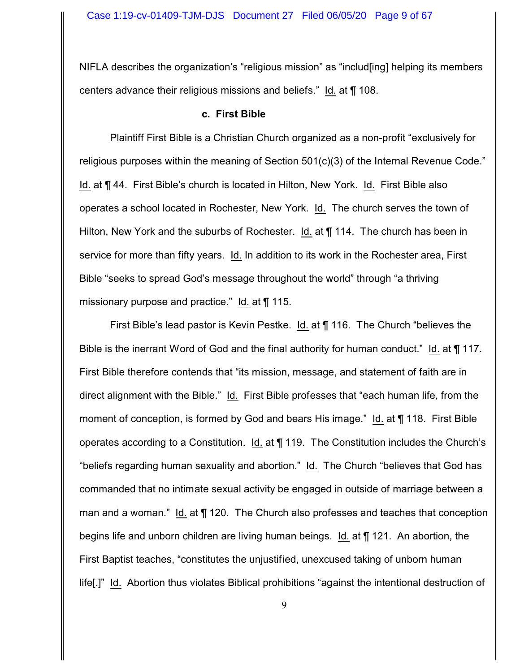NIFLA describes the organization's "religious mission" as "includ[ing] helping its members centers advance their religious missions and beliefs." Id. at ¶ 108.

#### **c. First Bible**

Plaintiff First Bible is a Christian Church organized as a non-profit "exclusively for religious purposes within the meaning of Section 501(c)(3) of the Internal Revenue Code." Id. at ¶ 44. First Bible's church is located in Hilton, New York. Id. First Bible also operates a school located in Rochester, New York. Id. The church serves the town of Hilton, New York and the suburbs of Rochester. Id. at ¶ 114. The church has been in service for more than fifty years. Id. In addition to its work in the Rochester area, First Bible "seeks to spread God's message throughout the world" through "a thriving missionary purpose and practice." Id. at  $\P$  115.

First Bible's lead pastor is Kevin Pestke. Id. at ¶ 116. The Church "believes the Bible is the inerrant Word of God and the final authority for human conduct." Id. at ¶ 117. First Bible therefore contends that "its mission, message, and statement of faith are in direct alignment with the Bible." Id. First Bible professes that "each human life, from the moment of conception, is formed by God and bears His image." Id. at ¶ 118. First Bible operates according to a Constitution. Id. at ¶ 119. The Constitution includes the Church's "beliefs regarding human sexuality and abortion." Id. The Church "believes that God has commanded that no intimate sexual activity be engaged in outside of marriage between a man and a woman." Id. at ¶ 120. The Church also professes and teaches that conception begins life and unborn children are living human beings. Id. at ¶ 121. An abortion, the First Baptist teaches, "constitutes the unjustified, unexcused taking of unborn human life[.]" Id. Abortion thus violates Biblical prohibitions "against the intentional destruction of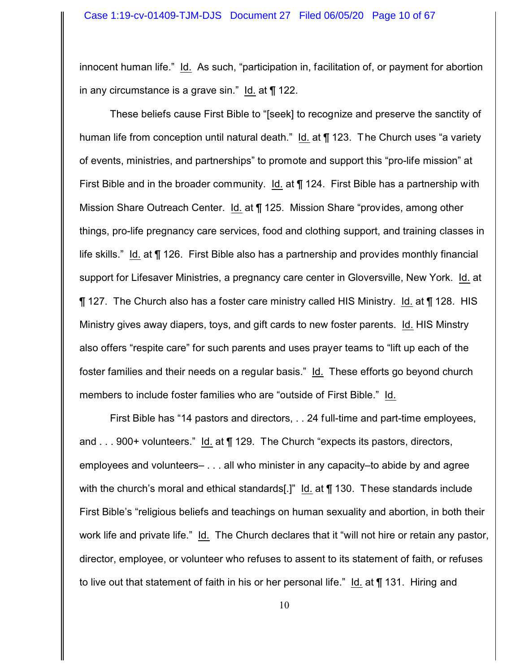innocent human life." Id. As such, "participation in, facilitation of, or payment for abortion in any circumstance is a grave sin." Id. at  $\P$  122.

These beliefs cause First Bible to "[seek] to recognize and preserve the sanctity of human life from conception until natural death." Id. at ¶ 123. The Church uses "a variety of events, ministries, and partnerships" to promote and support this "pro-life mission" at First Bible and in the broader community. Id. at ¶ 124. First Bible has a partnership with Mission Share Outreach Center. Id. at ¶ 125. Mission Share "provides, among other things, pro-life pregnancy care services, food and clothing support, and training classes in life skills." Id. at ¶ 126. First Bible also has a partnership and provides monthly financial support for Lifesaver Ministries, a pregnancy care center in Gloversville, New York. Id. at ¶ 127. The Church also has a foster care ministry called HIS Ministry. Id. at ¶ 128. HIS Ministry gives away diapers, toys, and gift cards to new foster parents. Id. HIS Minstry also offers "respite care" for such parents and uses prayer teams to "lift up each of the foster families and their needs on a regular basis." Id. These efforts go beyond church members to include foster families who are "outside of First Bible." Id.

First Bible has "14 pastors and directors, . . 24 full-time and part-time employees, and . . . 900+ volunteers." Id. at ¶ 129. The Church "expects its pastors, directors, employees and volunteers– . . . all who minister in any capacity–to abide by and agree with the church's moral and ethical standards[.]"  $\text{Id.}$  at  $\P$  130. These standards include First Bible's "religious beliefs and teachings on human sexuality and abortion, in both their work life and private life." Id. The Church declares that it "will not hire or retain any pastor, director, employee, or volunteer who refuses to assent to its statement of faith, or refuses to live out that statement of faith in his or her personal life." Id. at ¶ 131. Hiring and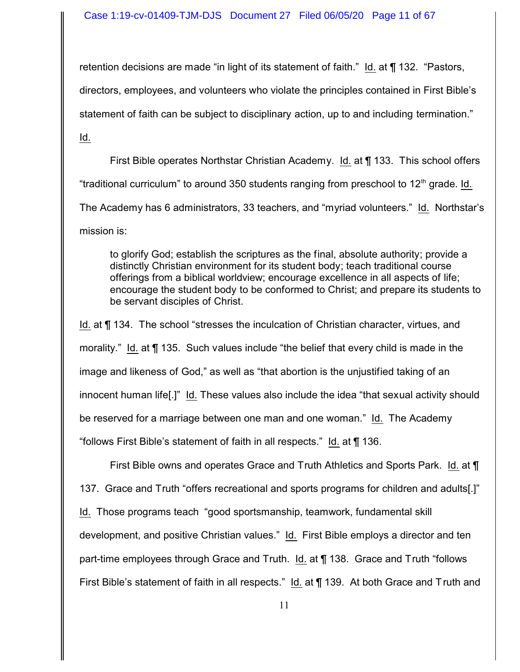retention decisions are made "in light of its statement of faith." Id. at ¶ 132. "Pastors,

directors, employees, and volunteers who violate the principles contained in First Bible's

statement of faith can be subject to disciplinary action, up to and including termination."

Id.

First Bible operates Northstar Christian Academy. Id. at ¶ 133. This school offers "traditional curriculum" to around 350 students ranging from preschool to 12<sup>th</sup> grade. Id. The Academy has 6 administrators, 33 teachers, and "myriad volunteers." Id. Northstar's mission is:

to glorify God; establish the scriptures as the final, absolute authority; provide a distinctly Christian environment for its student body; teach traditional course offerings from a biblical worldview; encourage excellence in all aspects of life; encourage the student body to be conformed to Christ; and prepare its students to be servant disciples of Christ.

Id. at ¶ 134. The school "stresses the inculcation of Christian character, virtues, and morality." Id. at ¶ 135. Such values include "the belief that every child is made in the image and likeness of God," as well as "that abortion is the unjustified taking of an innocent human life[.]" Id. These values also include the idea "that sexual activity should be reserved for a marriage between one man and one woman." Id. The Academy "follows First Bible's statement of faith in all respects." Id. at ¶ 136.

First Bible owns and operates Grace and Truth Athletics and Sports Park. Id. at ¶ 137. Grace and Truth "offers recreational and sports programs for children and adults[.]" Id. Those programs teach "good sportsmanship, teamwork, fundamental skill development, and positive Christian values." Id. First Bible employs a director and ten part-time employees through Grace and Truth. Id. at ¶ 138. Grace and Truth "follows First Bible's statement of faith in all respects." Id. at ¶ 139. At both Grace and Truth and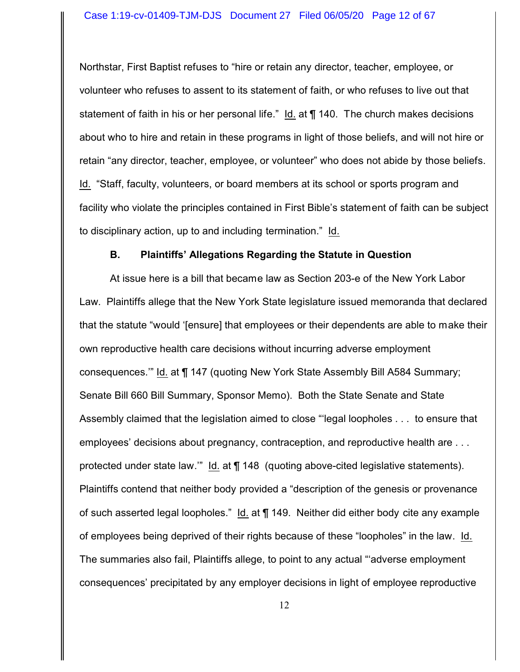Northstar, First Baptist refuses to "hire or retain any director, teacher, employee, or volunteer who refuses to assent to its statement of faith, or who refuses to live out that statement of faith in his or her personal life." Id. at ¶ 140. The church makes decisions about who to hire and retain in these programs in light of those beliefs, and will not hire or retain "any director, teacher, employee, or volunteer" who does not abide by those beliefs. Id. "Staff, faculty, volunteers, or board members at its school or sports program and facility who violate the principles contained in First Bible's statement of faith can be subject to disciplinary action, up to and including termination." Id.

### **B. Plaintiffs' Allegations Regarding the Statute in Question**

At issue here is a bill that became law as Section 203-e of the New York Labor Law. Plaintiffs allege that the New York State legislature issued memoranda that declared that the statute "would '[ensure] that employees or their dependents are able to make their own reproductive health care decisions without incurring adverse employment consequences.'" Id. at ¶ 147 (quoting New York State Assembly Bill A584 Summary; Senate Bill 660 Bill Summary, Sponsor Memo). Both the State Senate and State Assembly claimed that the legislation aimed to close "'legal loopholes . . . to ensure that employees' decisions about pregnancy, contraception, and reproductive health are . . . protected under state law." Id. at ¶ 148 (quoting above-cited legislative statements). Plaintiffs contend that neither body provided a "description of the genesis or provenance of such asserted legal loopholes." Id. at ¶ 149. Neither did either body cite any example of employees being deprived of their rights because of these "loopholes" in the law. Id. The summaries also fail, Plaintiffs allege, to point to any actual "'adverse employment consequences' precipitated by any employer decisions in light of employee reproductive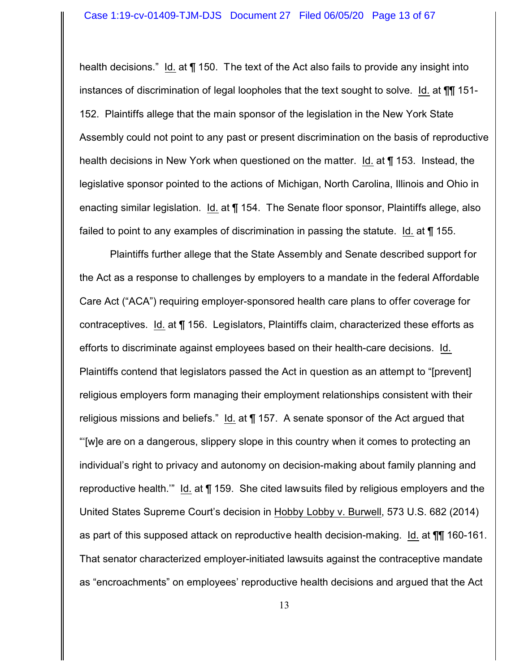health decisions." Id. at  $\P$  150. The text of the Act also fails to provide any insight into instances of discrimination of legal loopholes that the text sought to solve. Id. at ¶¶ 151- 152. Plaintiffs allege that the main sponsor of the legislation in the New York State Assembly could not point to any past or present discrimination on the basis of reproductive health decisions in New York when questioned on the matter. Id. at ¶ 153. Instead, the legislative sponsor pointed to the actions of Michigan, North Carolina, Illinois and Ohio in enacting similar legislation. Id. at ¶ 154. The Senate floor sponsor, Plaintiffs allege, also failed to point to any examples of discrimination in passing the statute. Id. at **[1** 155.

Plaintiffs further allege that the State Assembly and Senate described support for the Act as a response to challenges by employers to a mandate in the federal Affordable Care Act ("ACA") requiring employer-sponsored health care plans to offer coverage for contraceptives. Id. at ¶ 156. Legislators, Plaintiffs claim, characterized these efforts as efforts to discriminate against employees based on their health-care decisions. Id. Plaintiffs contend that legislators passed the Act in question as an attempt to "[prevent] religious employers form managing their employment relationships consistent with their religious missions and beliefs." Id. at ¶ 157. A senate sponsor of the Act argued that "'[w]e are on a dangerous, slippery slope in this country when it comes to protecting an individual's right to privacy and autonomy on decision-making about family planning and reproductive health.'" Id. at ¶ 159. She cited lawsuits filed by religious employers and the United States Supreme Court's decision in Hobby Lobby v. Burwell, 573 U.S. 682 (2014) as part of this supposed attack on reproductive health decision-making. Id. at ¶¶ 160-161. That senator characterized employer-initiated lawsuits against the contraceptive mandate as "encroachments" on employees' reproductive health decisions and argued that the Act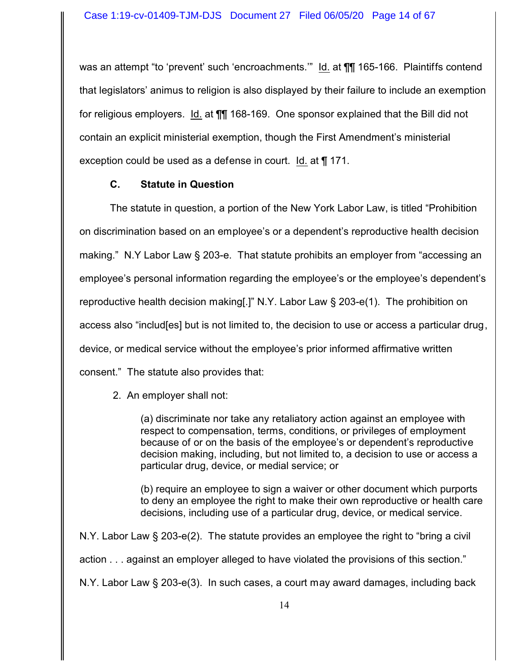was an attempt "to 'prevent' such 'encroachments."" Id. at  $\P\P$  165-166. Plaintiffs contend that legislators' animus to religion is also displayed by their failure to include an exemption for religious employers. Id. at ¶¶ 168-169. One sponsor explained that the Bill did not contain an explicit ministerial exemption, though the First Amendment's ministerial exception could be used as a defense in court. Id. at ¶ 171.

## **C. Statute in Question**

The statute in question, a portion of the New York Labor Law, is titled "Prohibition on discrimination based on an employee's or a dependent's reproductive health decision making." N.Y Labor Law § 203-e. That statute prohibits an employer from "accessing an employee's personal information regarding the employee's or the employee's dependent's reproductive health decision making[.]" N.Y. Labor Law § 203-e(1). The prohibition on access also "includ[es] but is not limited to, the decision to use or access a particular drug, device, or medical service without the employee's prior informed affirmative written consent." The statute also provides that:

2. An employer shall not:

(a) discriminate nor take any retaliatory action against an employee with respect to compensation, terms, conditions, or privileges of employment because of or on the basis of the employee's or dependent's reproductive decision making, including, but not limited to, a decision to use or access a particular drug, device, or medial service; or

(b) require an employee to sign a waiver or other document which purports to deny an employee the right to make their own reproductive or health care decisions, including use of a particular drug, device, or medical service.

N.Y. Labor Law § 203-e(2). The statute provides an employee the right to "bring a civil action . . . against an employer alleged to have violated the provisions of this section." N.Y. Labor Law § 203-e(3). In such cases, a court may award damages, including back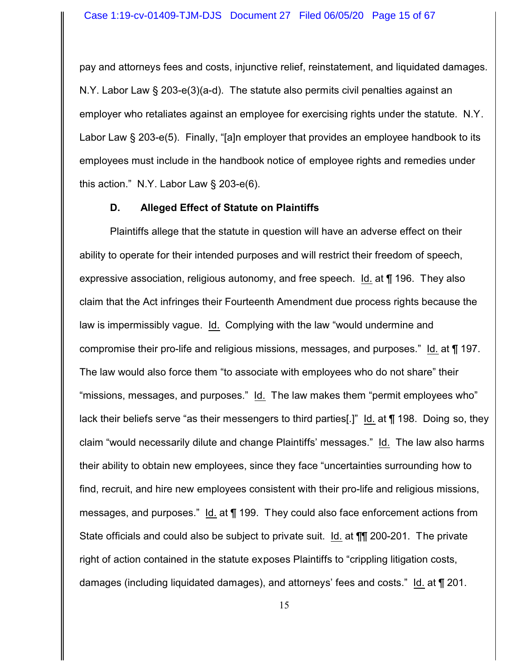pay and attorneys fees and costs, injunctive relief, reinstatement, and liquidated damages. N.Y. Labor Law § 203-e(3)(a-d). The statute also permits civil penalties against an employer who retaliates against an employee for exercising rights under the statute. N.Y. Labor Law § 203-e(5). Finally, "[a]n employer that provides an employee handbook to its employees must include in the handbook notice of employee rights and remedies under this action." N.Y. Labor Law § 203-e(6).

#### **D. Alleged Effect of Statute on Plaintiffs**

Plaintiffs allege that the statute in question will have an adverse effect on their ability to operate for their intended purposes and will restrict their freedom of speech, expressive association, religious autonomy, and free speech. Id. at ¶ 196. They also claim that the Act infringes their Fourteenth Amendment due process rights because the law is impermissibly vague. Id. Complying with the law "would undermine and compromise their pro-life and religious missions, messages, and purposes." Id. at ¶ 197. The law would also force them "to associate with employees who do not share" their "missions, messages, and purposes." Id. The law makes them "permit employees who" lack their beliefs serve "as their messengers to third parties[.]" Id. at ¶ 198. Doing so, they claim "would necessarily dilute and change Plaintiffs' messages." Id. The law also harms their ability to obtain new employees, since they face "uncertainties surrounding how to find, recruit, and hire new employees consistent with their pro-life and religious missions, messages, and purposes." Id. at ¶ 199. They could also face enforcement actions from State officials and could also be subject to private suit. Id. at ¶¶ 200-201. The private right of action contained in the statute exposes Plaintiffs to "crippling litigation costs, damages (including liquidated damages), and attorneys' fees and costs." Id. at ¶ 201.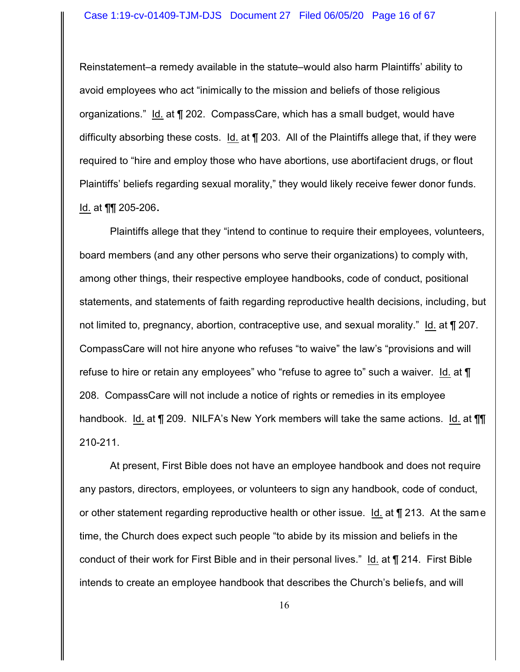Reinstatement–a remedy available in the statute–would also harm Plaintiffs' ability to avoid employees who act "inimically to the mission and beliefs of those religious organizations." Id. at ¶ 202. CompassCare, which has a small budget, would have difficulty absorbing these costs. Id. at ¶ 203. All of the Plaintiffs allege that, if they were required to "hire and employ those who have abortions, use abortifacient drugs, or flout Plaintiffs' beliefs regarding sexual morality," they would likely receive fewer donor funds. Id. at ¶¶ 205-206**.**

Plaintiffs allege that they "intend to continue to require their employees, volunteers, board members (and any other persons who serve their organizations) to comply with, among other things, their respective employee handbooks, code of conduct, positional statements, and statements of faith regarding reproductive health decisions, including, but not limited to, pregnancy, abortion, contraceptive use, and sexual morality." Id. at ¶ 207. CompassCare will not hire anyone who refuses "to waive" the law's "provisions and will refuse to hire or retain any employees" who "refuse to agree to" such a waiver. Id. at  $\P$ 208. CompassCare will not include a notice of rights or remedies in its employee handbook. Id. at ¶ 209. NILFA's New York members will take the same actions. Id. at ¶¶ 210-211.

At present, First Bible does not have an employee handbook and does not require any pastors, directors, employees, or volunteers to sign any handbook, code of conduct, or other statement regarding reproductive health or other issue. Id. at ¶ 213. At the same time, the Church does expect such people "to abide by its mission and beliefs in the conduct of their work for First Bible and in their personal lives." Id. at ¶ 214. First Bible intends to create an employee handbook that describes the Church's beliefs, and will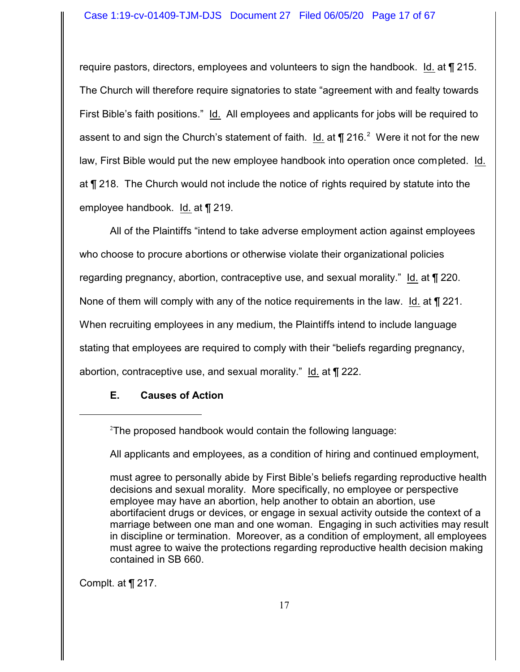require pastors, directors, employees and volunteers to sign the handbook. Id. at **[** 215. The Church will therefore require signatories to state "agreement with and fealty towards First Bible's faith positions." Id. All employees and applicants for jobs will be required to assent to and sign the Church's statement of faith. Id. at ¶ 216.<sup>2</sup> Were it not for the new law, First Bible would put the new employee handbook into operation once completed. Id. at ¶ 218. The Church would not include the notice of rights required by statute into the employee handbook. Id. at ¶ 219.

All of the Plaintiffs "intend to take adverse employment action against employees who choose to procure abortions or otherwise violate their organizational policies regarding pregnancy, abortion, contraceptive use, and sexual morality." Id. at ¶ 220. None of them will comply with any of the notice requirements in the law. Id. at  $\P$  221. When recruiting employees in any medium, the Plaintiffs intend to include language stating that employees are required to comply with their "beliefs regarding pregnancy, abortion, contraceptive use, and sexual morality." Id. at ¶ 222.

# **E. Causes of Action**

 $2$ The proposed handbook would contain the following language:

All applicants and employees, as a condition of hiring and continued employment,

must agree to personally abide by First Bible's beliefs regarding reproductive health decisions and sexual morality. More specifically, no employee or perspective employee may have an abortion, help another to obtain an abortion, use abortifacient drugs or devices, or engage in sexual activity outside the context of a marriage between one man and one woman. Engaging in such activities may result in discipline or termination. Moreover, as a condition of employment, all employees must agree to waive the protections regarding reproductive health decision making contained in SB 660.

Complt. at ¶ 217.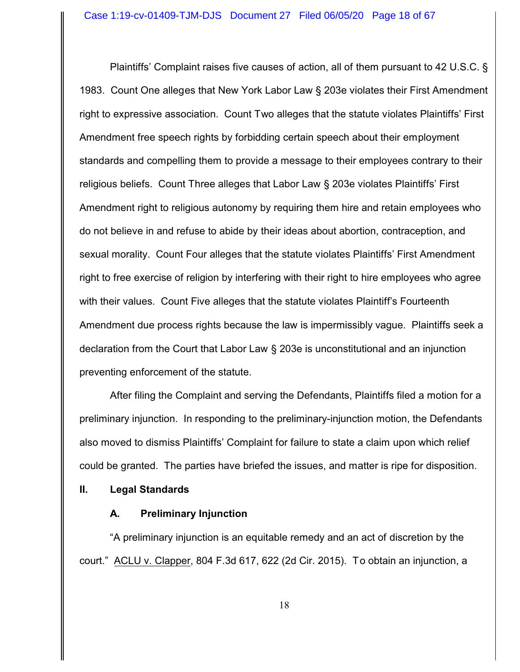Plaintiffs' Complaint raises five causes of action, all of them pursuant to 42 U.S.C. § 1983. Count One alleges that New York Labor Law § 203e violates their First Amendment right to expressive association. Count Two alleges that the statute violates Plaintiffs' First Amendment free speech rights by forbidding certain speech about their employment standards and compelling them to provide a message to their employees contrary to their religious beliefs. Count Three alleges that Labor Law § 203e violates Plaintiffs' First Amendment right to religious autonomy by requiring them hire and retain employees who do not believe in and refuse to abide by their ideas about abortion, contraception, and sexual morality. Count Four alleges that the statute violates Plaintiffs' First Amendment right to free exercise of religion by interfering with their right to hire employees who agree with their values. Count Five alleges that the statute violates Plaintiff's Fourteenth Amendment due process rights because the law is impermissibly vague.Plaintiffs seek a declaration from the Court that Labor Law § 203e is unconstitutional and an injunction preventing enforcement of the statute.

After filing the Complaint and serving the Defendants, Plaintiffs filed a motion for a preliminary injunction. In responding to the preliminary-injunction motion, the Defendants also moved to dismiss Plaintiffs' Complaint for failure to state a claim upon which relief could be granted. The parties have briefed the issues, and matter is ripe for disposition.

## **II. Legal Standards**

## **A. Preliminary Injunction**

"A preliminary injunction is an equitable remedy and an act of discretion by the court." ACLU v. Clapper, 804 F.3d 617, 622 (2d Cir. 2015). To obtain an injunction, a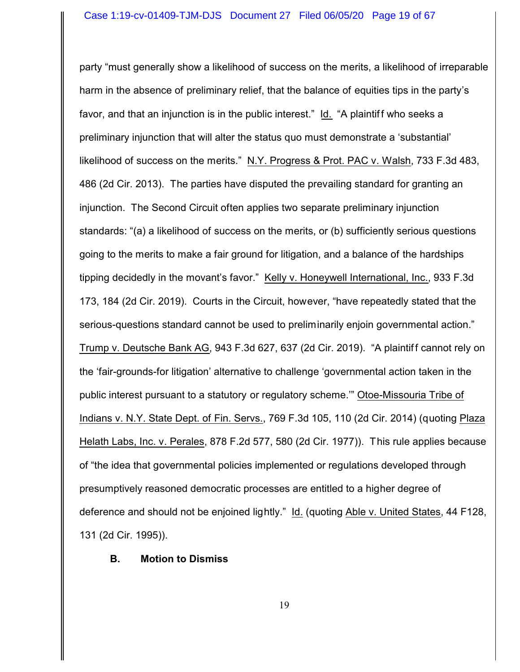party "must generally show a likelihood of success on the merits, a likelihood of irreparable harm in the absence of preliminary relief, that the balance of equities tips in the party's favor, and that an injunction is in the public interest." Id. "A plaintiff who seeks a preliminary injunction that will alter the status quo must demonstrate a 'substantial' likelihood of success on the merits." N.Y. Progress & Prot. PAC v. Walsh, 733 F.3d 483, 486 (2d Cir. 2013). The parties have disputed the prevailing standard for granting an injunction. The Second Circuit often applies two separate preliminary injunction standards: "(a) a likelihood of success on the merits, or (b) sufficiently serious questions going to the merits to make a fair ground for litigation, and a balance of the hardships tipping decidedly in the movant's favor." Kelly v. Honeywell International, Inc., 933 F.3d 173, 184 (2d Cir. 2019). Courts in the Circuit, however, "have repeatedly stated that the serious-questions standard cannot be used to preliminarily enjoin governmental action." Trump v. Deutsche Bank AG, 943 F.3d 627, 637 (2d Cir. 2019). "A plaintif f cannot rely on the 'fair-grounds-for litigation' alternative to challenge 'governmental action taken in the public interest pursuant to a statutory or regulatory scheme.'" Otoe-Missouria Tribe of Indians v. N.Y. State Dept. of Fin. Servs., 769 F.3d 105, 110 (2d Cir. 2014) (quoting Plaza Helath Labs, Inc. v. Perales, 878 F.2d 577, 580 (2d Cir. 1977)). This rule applies because of "the idea that governmental policies implemented or regulations developed through presumptively reasoned democratic processes are entitled to a higher degree of deference and should not be enjoined lightly." Id. (quoting Able v. United States, 44 F128, 131 (2d Cir. 1995)).

## **B. Motion to Dismiss**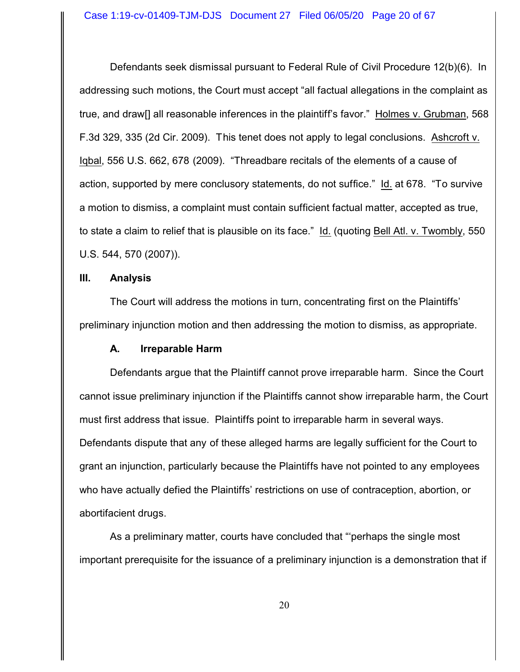Defendants seek dismissal pursuant to Federal Rule of Civil Procedure 12(b)(6). In addressing such motions, the Court must accept "all factual allegations in the complaint as true, and draw[] all reasonable inferences in the plaintiff's favor." Holmes v. Grubman, 568 F.3d 329, 335 (2d Cir. 2009). This tenet does not apply to legal conclusions. Ashcroft v. Iqbal, 556 U.S. 662, 678 (2009). "Threadbare recitals of the elements of a cause of action, supported by mere conclusory statements, do not suffice." Id. at 678. "To survive a motion to dismiss, a complaint must contain sufficient factual matter, accepted as true, to state a claim to relief that is plausible on its face." Id. (quoting Bell Atl. v. Twombly, 550 U.S. 544, 570 (2007)).

## **III. Analysis**

The Court will address the motions in turn, concentrating first on the Plaintiffs' preliminary injunction motion and then addressing the motion to dismiss, as appropriate.

## **A. Irreparable Harm**

Defendants argue that the Plaintiff cannot prove irreparable harm. Since the Court cannot issue preliminary injunction if the Plaintiffs cannot show irreparable harm, the Court must first address that issue. Plaintiffs point to irreparable harm in several ways. Defendants dispute that any of these alleged harms are legally sufficient for the Court to grant an injunction, particularly because the Plaintiffs have not pointed to any employees who have actually defied the Plaintiffs' restrictions on use of contraception, abortion, or abortifacient drugs.

As a preliminary matter, courts have concluded that "'perhaps the single most important prerequisite for the issuance of a preliminary injunction is a demonstration that if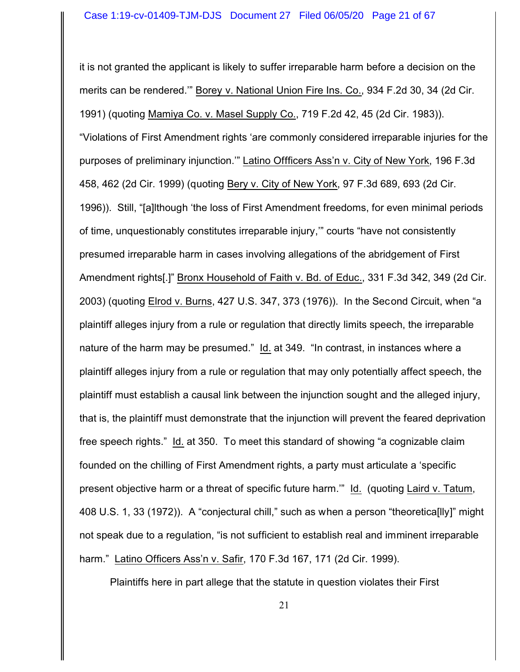it is not granted the applicant is likely to suffer irreparable harm before a decision on the merits can be rendered.'" Borey v. National Union Fire Ins. Co., 934 F.2d 30, 34 (2d Cir. 1991) (quoting Mamiya Co. v. Masel Supply Co., 719 F.2d 42, 45 (2d Cir. 1983)). "Violations of First Amendment rights 'are commonly considered irreparable injuries for the purposes of preliminary injunction.'" Latino Offficers Ass'n v. City of New York, 196 F.3d 458, 462 (2d Cir. 1999) (quoting Bery v. City of New York, 97 F.3d 689, 693 (2d Cir. 1996)). Still, "[a]lthough 'the loss of First Amendment freedoms, for even minimal periods of time, unquestionably constitutes irreparable injury,'" courts "have not consistently presumed irreparable harm in cases involving allegations of the abridgement of First Amendment rights[.]" Bronx Household of Faith v. Bd. of Educ., 331 F.3d 342, 349 (2d Cir. 2003) (quoting Elrod v. Burns, 427 U.S. 347, 373 (1976)). In the Second Circuit, when "a plaintiff alleges injury from a rule or regulation that directly limits speech, the irreparable nature of the harm may be presumed." Id. at 349. "In contrast, in instances where a plaintiff alleges injury from a rule or regulation that may only potentially affect speech, the plaintiff must establish a causal link between the injunction sought and the alleged injury, that is, the plaintiff must demonstrate that the injunction will prevent the feared deprivation free speech rights." Id. at 350. To meet this standard of showing "a cognizable claim founded on the chilling of First Amendment rights, a party must articulate a 'specific present objective harm or a threat of specific future harm.'" Id. (quoting Laird v. Tatum, 408 U.S. 1, 33 (1972)). A "conjectural chill," such as when a person "theoretica[lly]" might not speak due to a regulation, "is not sufficient to establish real and imminent irreparable harm." Latino Officers Ass'n v. Safir, 170 F.3d 167, 171 (2d Cir. 1999).

Plaintiffs here in part allege that the statute in question violates their First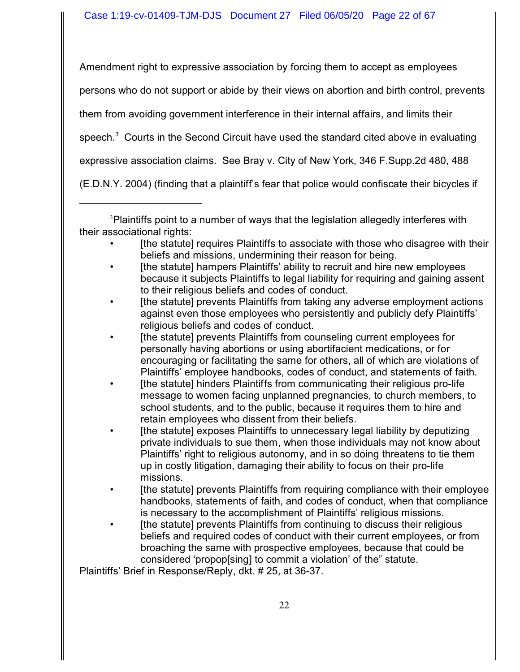Amendment right to expressive association by forcing them to accept as employees persons who do not support or abide by their views on abortion and birth control, prevents them from avoiding government interference in their internal affairs, and limits their speech. $^3$  Courts in the Second Circuit have used the standard cited above in evaluating expressive association claims. See Bray v. City of New York, 346 F.Supp.2d 480, 488 (E.D.N.Y. 2004) (finding that a plaintiff's fear that police would confiscate their bicycles if

- [the statute] requires Plaintiffs to associate with those who disagree with their beliefs and missions, undermining their reason for being.
- [the statute] hampers Plaintiffs' ability to recruit and hire new employees because it subjects Plaintiffs to legal liability for requiring and gaining assent to their religious beliefs and codes of conduct.
- [the statute] prevents Plaintiffs from taking any adverse employment actions against even those employees who persistently and publicly defy Plaintiffs' religious beliefs and codes of conduct.
- [the statute] prevents Plaintiffs from counseling current employees for personally having abortions or using abortifacient medications, or for encouraging or facilitating the same for others, all of which are violations of Plaintiffs' employee handbooks, codes of conduct, and statements of faith.
- [the statute] hinders Plaintiffs from communicating their religious pro-life message to women facing unplanned pregnancies, to church members, to school students, and to the public, because it requires them to hire and retain employees who dissent from their beliefs.
- [the statute] exposes Plaintiffs to unnecessary legal liability by deputizing private individuals to sue them, when those individuals may not know about Plaintiffs' right to religious autonomy, and in so doing threatens to tie them up in costly litigation, damaging their ability to focus on their pro-life missions.
- [the statute] prevents Plaintiffs from requiring compliance with their employee handbooks, statements of faith, and codes of conduct, when that compliance is necessary to the accomplishment of Plaintiffs' religious missions.
- [the statute] prevents Plaintiffs from continuing to discuss their religious beliefs and required codes of conduct with their current employees, or from broaching the same with prospective employees, because that could be considered 'propop[sing] to commit a violation' of the" statute.

Plaintiffs' Brief in Response/Reply, dkt. # 25, at 36-37.

<sup>&</sup>lt;sup>3</sup>Plaintiffs point to a number of ways that the legislation allegedly interferes with their associational rights: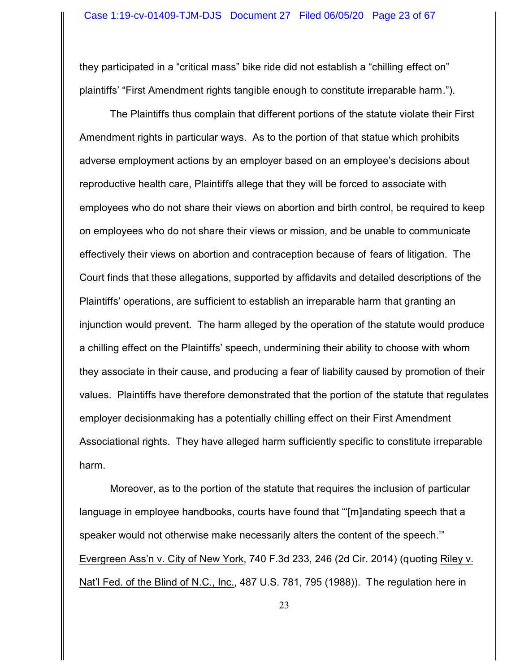they participated in a "critical mass" bike ride did not establish a "chilling effect on" plaintiffs' "First Amendment rights tangible enough to constitute irreparable harm.").

The Plaintiffs thus complain that different portions of the statute violate their First Amendment rights in particular ways. As to the portion of that statue which prohibits adverse employment actions by an employer based on an employee's decisions about reproductive health care, Plaintiffs allege that they will be forced to associate with employees who do not share their views on abortion and birth control, be required to keep on employees who do not share their views or mission, and be unable to communicate effectively their views on abortion and contraception because of fears of litigation. The Court finds that these allegations, supported by affidavits and detailed descriptions of the Plaintiffs' operations, are sufficient to establish an irreparable harm that granting an injunction would prevent. The harm alleged by the operation of the statute would produce a chilling effect on the Plaintiffs' speech, undermining their ability to choose with whom they associate in their cause, and producing a fear of liability caused by promotion of their values. Plaintiffs have therefore demonstrated that the portion of the statute that regulates employer decisionmaking has a potentially chilling effect on their First Amendment Associational rights. They have alleged harm sufficiently specific to constitute irreparable harm.

Moreover, as to the portion of the statute that requires the inclusion of particular language in employee handbooks, courts have found that "'[m]andating speech that a speaker would not otherwise make necessarily alters the content of the speech.'" Evergreen Ass'n v. City of New York, 740 F.3d 233, 246 (2d Cir. 2014) (quoting Riley v. Nat'l Fed. of the Blind of N.C., Inc., 487 U.S. 781, 795 (1988)). The regulation here in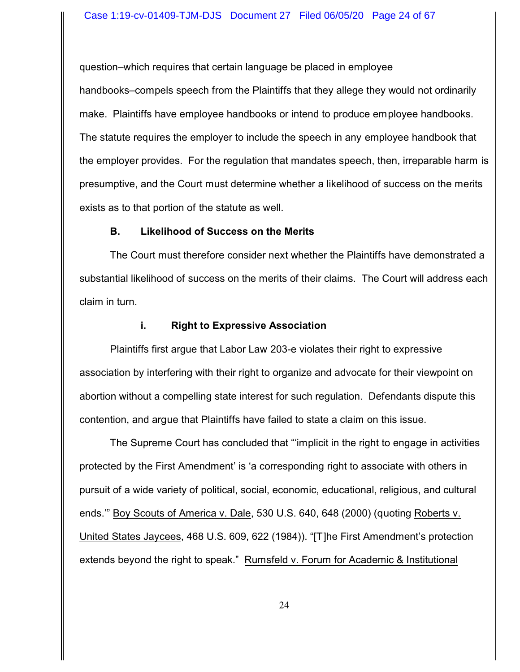question–which requires that certain language be placed in employee handbooks–compels speech from the Plaintiffs that they allege they would not ordinarily make. Plaintiffs have employee handbooks or intend to produce employee handbooks. The statute requires the employer to include the speech in any employee handbook that the employer provides. For the regulation that mandates speech, then, irreparable harm is presumptive, and the Court must determine whether a likelihood of success on the merits exists as to that portion of the statute as well.

## **B. Likelihood of Success on the Merits**

The Court must therefore consider next whether the Plaintiffs have demonstrated a substantial likelihood of success on the merits of their claims. The Court will address each claim in turn.

## **i. Right to Expressive Association**

Plaintiffs first argue that Labor Law 203-e violates their right to expressive association by interfering with their right to organize and advocate for their viewpoint on abortion without a compelling state interest for such regulation. Defendants dispute this contention, and argue that Plaintiffs have failed to state a claim on this issue.

The Supreme Court has concluded that "'implicit in the right to engage in activities protected by the First Amendment' is 'a corresponding right to associate with others in pursuit of a wide variety of political, social, economic, educational, religious, and cultural ends.'" Boy Scouts of America v. Dale, 530 U.S. 640, 648 (2000) (quoting Roberts v. United States Jaycees, 468 U.S. 609, 622 (1984)). "[T]he First Amendment's protection extends beyond the right to speak." Rumsfeld v. Forum for Academic & Institutional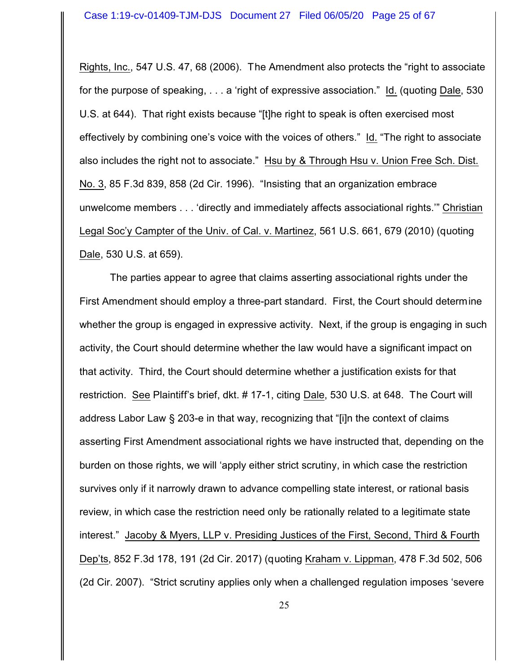Rights, Inc., 547 U.S. 47, 68 (2006). The Amendment also protects the "right to associate for the purpose of speaking, . . . a 'right of expressive association." Id. (quoting Dale, 530 U.S. at 644). That right exists because "[t]he right to speak is often exercised most effectively by combining one's voice with the voices of others." Id. "The right to associate also includes the right not to associate." Hsu by & Through Hsu v. Union Free Sch. Dist. No. 3, 85 F.3d 839, 858 (2d Cir. 1996). "Insisting that an organization embrace unwelcome members . . . 'directly and immediately affects associational rights.'" Christian Legal Soc'y Campter of the Univ. of Cal. v. Martinez, 561 U.S. 661, 679 (2010) (quoting Dale, 530 U.S. at 659).

The parties appear to agree that claims asserting associational rights under the First Amendment should employ a three-part standard. First, the Court should determine whether the group is engaged in expressive activity. Next, if the group is engaging in such activity, the Court should determine whether the law would have a significant impact on that activity. Third, the Court should determine whether a justification exists for that restriction. See Plaintiff's brief, dkt. # 17-1, citing Dale, 530 U.S. at 648. The Court will address Labor Law § 203-e in that way, recognizing that "[i]n the context of claims asserting First Amendment associational rights we have instructed that, depending on the burden on those rights, we will 'apply either strict scrutiny, in which case the restriction survives only if it narrowly drawn to advance compelling state interest, or rational basis review, in which case the restriction need only be rationally related to a legitimate state interest." Jacoby & Myers, LLP v. Presiding Justices of the First, Second, Third & Fourth Dep'ts, 852 F.3d 178, 191 (2d Cir. 2017) (quoting Kraham v. Lippman, 478 F.3d 502, 506 (2d Cir. 2007). "Strict scrutiny applies only when a challenged regulation imposes 'severe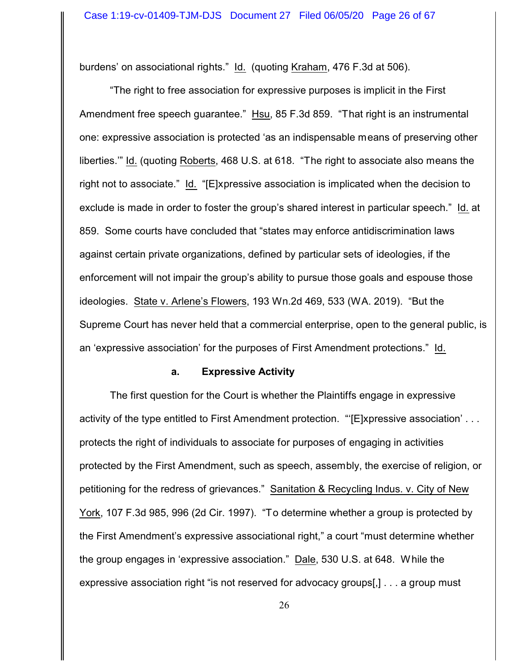burdens' on associational rights." Id. (quoting Kraham, 476 F.3d at 506).

"The right to free association for expressive purposes is implicit in the First Amendment free speech guarantee." Hsu, 85 F.3d 859. "That right is an instrumental one: expressive association is protected 'as an indispensable means of preserving other liberties.'" Id. (quoting Roberts, 468 U.S. at 618. "The right to associate also means the right not to associate." Id. "[E]xpressive association is implicated when the decision to exclude is made in order to foster the group's shared interest in particular speech." Id. at 859. Some courts have concluded that "states may enforce antidiscrimination laws against certain private organizations, defined by particular sets of ideologies, if the enforcement will not impair the group's ability to pursue those goals and espouse those ideologies. State v. Arlene's Flowers, 193 Wn.2d 469, 533 (WA. 2019). "But the Supreme Court has never held that a commercial enterprise, open to the general public, is an 'expressive association' for the purposes of First Amendment protections." Id.

#### **a. Expressive Activity**

The first question for the Court is whether the Plaintiffs engage in expressive activity of the type entitled to First Amendment protection. "'[E]xpressive association' . . . protects the right of individuals to associate for purposes of engaging in activities protected by the First Amendment, such as speech, assembly, the exercise of religion, or petitioning for the redress of grievances." Sanitation & Recycling Indus. v. City of New York, 107 F.3d 985, 996 (2d Cir. 1997). "To determine whether a group is protected by the First Amendment's expressive associational right," a court "must determine whether the group engages in 'expressive association." Dale, 530 U.S. at 648. While the expressive association right "is not reserved for advocacy groups[,] . . . a group must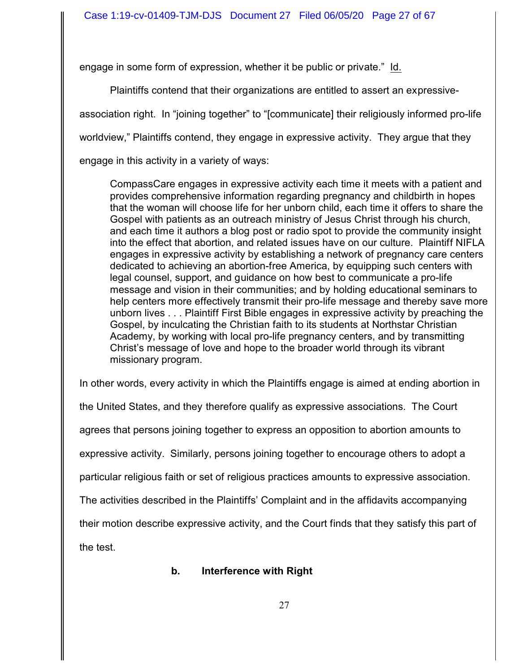engage in some form of expression, whether it be public or private." Id.

Plaintiffs contend that their organizations are entitled to assert an expressiveassociation right. In "joining together" to "[communicate] their religiously informed pro-life worldview," Plaintiffs contend, they engage in expressive activity. They argue that they engage in this activity in a variety of ways:

CompassCare engages in expressive activity each time it meets with a patient and provides comprehensive information regarding pregnancy and childbirth in hopes that the woman will choose life for her unborn child, each time it offers to share the Gospel with patients as an outreach ministry of Jesus Christ through his church, and each time it authors a blog post or radio spot to provide the community insight into the effect that abortion, and related issues have on our culture. Plaintiff NIFLA engages in expressive activity by establishing a network of pregnancy care centers dedicated to achieving an abortion-free America, by equipping such centers with legal counsel, support, and guidance on how best to communicate a pro-life message and vision in their communities; and by holding educational seminars to help centers more effectively transmit their pro-life message and thereby save more unborn lives . . . Plaintiff First Bible engages in expressive activity by preaching the Gospel, by inculcating the Christian faith to its students at Northstar Christian Academy, by working with local pro-life pregnancy centers, and by transmitting Christ's message of love and hope to the broader world through its vibrant missionary program.

In other words, every activity in which the Plaintiffs engage is aimed at ending abortion in

the United States, and they therefore qualify as expressive associations. The Court

agrees that persons joining together to express an opposition to abortion amounts to

expressive activity. Similarly, persons joining together to encourage others to adopt a

particular religious faith or set of religious practices amounts to expressive association.

The activities described in the Plaintiffs' Complaint and in the affidavits accompanying

their motion describe expressive activity, and the Court finds that they satisfy this part of

the test.

## **b. Interference with Right**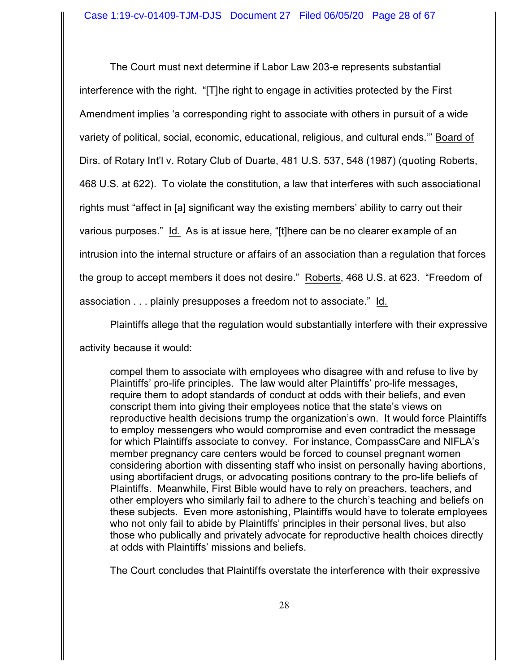The Court must next determine if Labor Law 203-e represents substantial interference with the right. "[T]he right to engage in activities protected by the First Amendment implies 'a corresponding right to associate with others in pursuit of a wide variety of political, social, economic, educational, religious, and cultural ends.'" Board of Dirs. of Rotary Int'l v. Rotary Club of Duarte, 481 U.S. 537, 548 (1987) (quoting Roberts, 468 U.S. at 622). To violate the constitution, a law that interferes with such associational rights must "affect in [a] significant way the existing members' ability to carry out their various purposes." Id. As is at issue here, "[t]here can be no clearer example of an intrusion into the internal structure or affairs of an association than a regulation that forces the group to accept members it does not desire." Roberts, 468 U.S. at 623. "Freedom of association . . . plainly presupposes a freedom not to associate." Id.

Plaintiffs allege that the regulation would substantially interfere with their expressive activity because it would:

compel them to associate with employees who disagree with and refuse to live by Plaintiffs' pro-life principles. The law would alter Plaintiffs' pro-life messages, require them to adopt standards of conduct at odds with their beliefs, and even conscript them into giving their employees notice that the state's views on reproductive health decisions trump the organization's own. It would force Plaintiffs to employ messengers who would compromise and even contradict the message for which Plaintiffs associate to convey. For instance, CompassCare and NIFLA's member pregnancy care centers would be forced to counsel pregnant women considering abortion with dissenting staff who insist on personally having abortions, using abortifacient drugs, or advocating positions contrary to the pro-life beliefs of Plaintiffs. Meanwhile, First Bible would have to rely on preachers, teachers, and other employers who similarly fail to adhere to the church's teaching and beliefs on these subjects. Even more astonishing, Plaintiffs would have to tolerate employees who not only fail to abide by Plaintiffs' principles in their personal lives, but also those who publically and privately advocate for reproductive health choices directly at odds with Plaintiffs' missions and beliefs.

The Court concludes that Plaintiffs overstate the interference with their expressive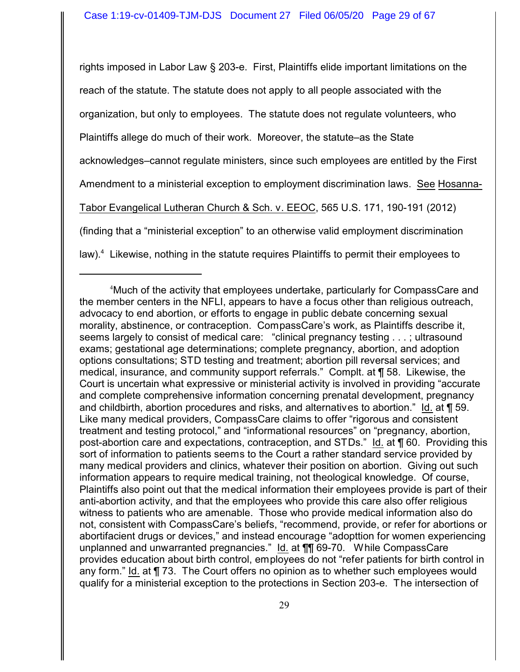rights imposed in Labor Law § 203-e. First, Plaintiffs elide important limitations on the reach of the statute. The statute does not apply to all people associated with the organization, but only to employees. The statute does not regulate volunteers, who Plaintiffs allege do much of their work. Moreover, the statute–as the State acknowledges–cannot regulate ministers, since such employees are entitled by the First Amendment to a ministerial exception to employment discrimination laws. See Hosanna-Tabor Evangelical Lutheran Church & Sch. v. EEOC, 565 U.S. 171, 190-191 (2012) (finding that a "ministerial exception" to an otherwise valid employment discrimination law).<sup>4</sup> Likewise, nothing in the statute requires Plaintiffs to permit their employees to

<sup>4</sup>Much of the activity that employees undertake, particularly for CompassCare and the member centers in the NFLI, appears to have a focus other than religious outreach, advocacy to end abortion, or efforts to engage in public debate concerning sexual morality, abstinence, or contraception. CompassCare's work, as Plaintiffs describe it, seems largely to consist of medical care: "clinical pregnancy testing . . . ; ultrasound exams; gestational age determinations; complete pregnancy, abortion, and adoption options consultations; STD testing and treatment; abortion pill reversal services; and medical, insurance, and community support referrals." Complt. at ¶ 58. Likewise, the Court is uncertain what expressive or ministerial activity is involved in providing "accurate and complete comprehensive information concerning prenatal development, pregnancy and childbirth, abortion procedures and risks, and alternatives to abortion." Id. at  $\P$  59. Like many medical providers, CompassCare claims to offer "rigorous and consistent treatment and testing protocol," and "informational resources" on "pregnancy, abortion, post-abortion care and expectations, contraception, and STDs." Id. at ¶ 60. Providing this sort of information to patients seems to the Court a rather standard service provided by many medical providers and clinics, whatever their position on abortion. Giving out such information appears to require medical training, not theological knowledge. Of course, Plaintiffs also point out that the medical information their employees provide is part of their anti-abortion activity, and that the employees who provide this care also offer religious witness to patients who are amenable. Those who provide medical information also do not, consistent with CompassCare's beliefs, "recommend, provide, or refer for abortions or abortifacient drugs or devices," and instead encourage "adopttion for women experiencing unplanned and unwarranted pregnancies." Id. at ¶¶ 69-70. While CompassCare provides education about birth control, employees do not "refer patients for birth control in any form." Id. at ¶ 73. The Court offers no opinion as to whether such employees would qualify for a ministerial exception to the protections in Section 203-e. The intersection of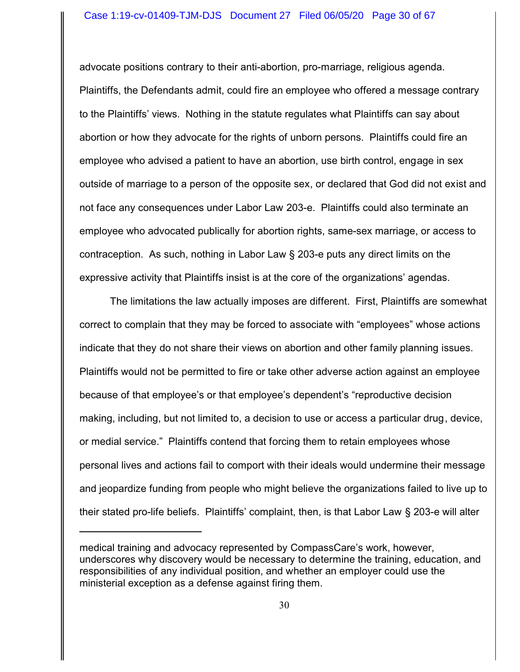advocate positions contrary to their anti-abortion, pro-marriage, religious agenda. Plaintiffs, the Defendants admit, could fire an employee who offered a message contrary to the Plaintiffs' views. Nothing in the statute regulates what Plaintiffs can say about abortion or how they advocate for the rights of unborn persons. Plaintiffs could fire an employee who advised a patient to have an abortion, use birth control, engage in sex outside of marriage to a person of the opposite sex, or declared that God did not exist and not face any consequences under Labor Law 203-e. Plaintiffs could also terminate an employee who advocated publically for abortion rights, same-sex marriage, or access to contraception. As such, nothing in Labor Law § 203-e puts any direct limits on the expressive activity that Plaintiffs insist is at the core of the organizations' agendas.

The limitations the law actually imposes are different. First, Plaintiffs are somewhat correct to complain that they may be forced to associate with "employees" whose actions indicate that they do not share their views on abortion and other family planning issues. Plaintiffs would not be permitted to fire or take other adverse action against an employee because of that employee's or that employee's dependent's "reproductive decision making, including, but not limited to, a decision to use or access a particular drug, device, or medial service." Plaintiffs contend that forcing them to retain employees whose personal lives and actions fail to comport with their ideals would undermine their message and jeopardize funding from people who might believe the organizations failed to live up to their stated pro-life beliefs. Plaintiffs' complaint, then, is that Labor Law § 203-e will alter

medical training and advocacy represented by CompassCare's work, however, underscores why discovery would be necessary to determine the training, education, and responsibilities of any individual position, and whether an employer could use the ministerial exception as a defense against firing them.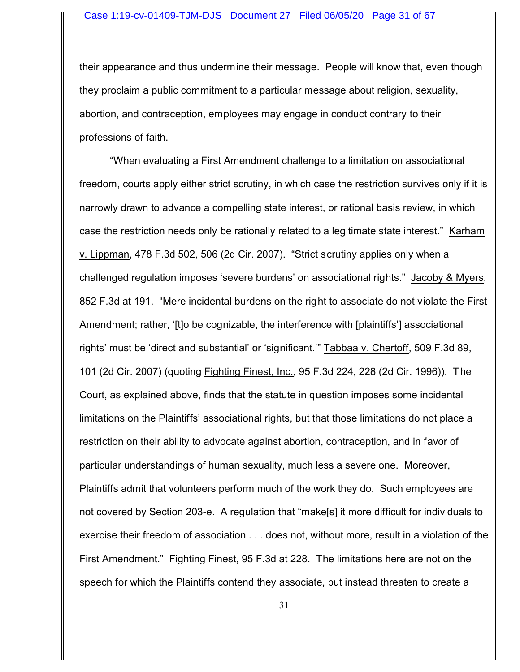their appearance and thus undermine their message. People will know that, even though they proclaim a public commitment to a particular message about religion, sexuality, abortion, and contraception, employees may engage in conduct contrary to their professions of faith.

"When evaluating a First Amendment challenge to a limitation on associational freedom, courts apply either strict scrutiny, in which case the restriction survives only if it is narrowly drawn to advance a compelling state interest, or rational basis review, in which case the restriction needs only be rationally related to a legitimate state interest." Karham v. Lippman, 478 F.3d 502, 506 (2d Cir. 2007). "Strict scrutiny applies only when a challenged regulation imposes 'severe burdens' on associational rights." Jacoby & Myers, 852 F.3d at 191. "Mere incidental burdens on the right to associate do not violate the First Amendment; rather, '[t]o be cognizable, the interference with [plaintiffs'] associational rights' must be 'direct and substantial' or 'significant.'" Tabbaa v. Chertoff, 509 F.3d 89, 101 (2d Cir. 2007) (quoting Fighting Finest, Inc., 95 F.3d 224, 228 (2d Cir. 1996)). The Court, as explained above, finds that the statute in question imposes some incidental limitations on the Plaintiffs' associational rights, but that those limitations do not place a restriction on their ability to advocate against abortion, contraception, and in favor of particular understandings of human sexuality, much less a severe one. Moreover, Plaintiffs admit that volunteers perform much of the work they do. Such employees are not covered by Section 203-e. A regulation that "make[s] it more difficult for individuals to exercise their freedom of association . . . does not, without more, result in a violation of the First Amendment." Fighting Finest, 95 F.3d at 228. The limitations here are not on the speech for which the Plaintiffs contend they associate, but instead threaten to create a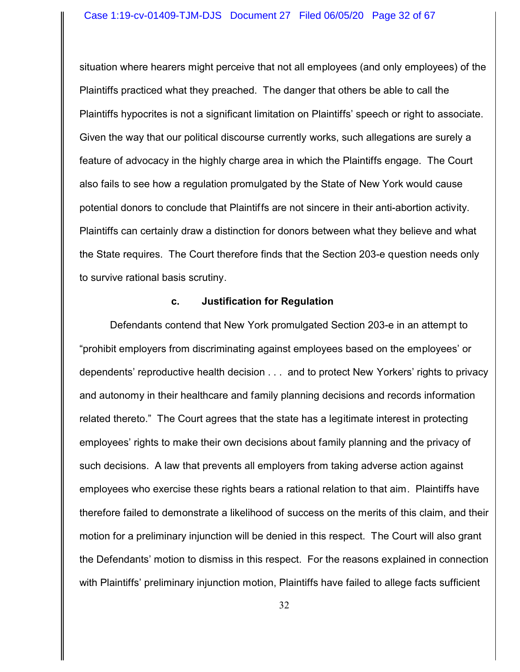situation where hearers might perceive that not all employees (and only employees) of the Plaintiffs practiced what they preached. The danger that others be able to call the Plaintiffs hypocrites is not a significant limitation on Plaintiffs' speech or right to associate. Given the way that our political discourse currently works, such allegations are surely a feature of advocacy in the highly charge area in which the Plaintiffs engage. The Court also fails to see how a regulation promulgated by the State of New York would cause potential donors to conclude that Plaintiffs are not sincere in their anti-abortion activity. Plaintiffs can certainly draw a distinction for donors between what they believe and what the State requires. The Court therefore finds that the Section 203-e question needs only to survive rational basis scrutiny.

#### **c. Justification for Regulation**

Defendants contend that New York promulgated Section 203-e in an attempt to "prohibit employers from discriminating against employees based on the employees' or dependents' reproductive health decision . . . and to protect New Yorkers' rights to privacy and autonomy in their healthcare and family planning decisions and records information related thereto." The Court agrees that the state has a legitimate interest in protecting employees' rights to make their own decisions about family planning and the privacy of such decisions. A law that prevents all employers from taking adverse action against employees who exercise these rights bears a rational relation to that aim. Plaintiffs have therefore failed to demonstrate a likelihood of success on the merits of this claim, and their motion for a preliminary injunction will be denied in this respect. The Court will also grant the Defendants' motion to dismiss in this respect. For the reasons explained in connection with Plaintiffs' preliminary injunction motion, Plaintiffs have failed to allege facts sufficient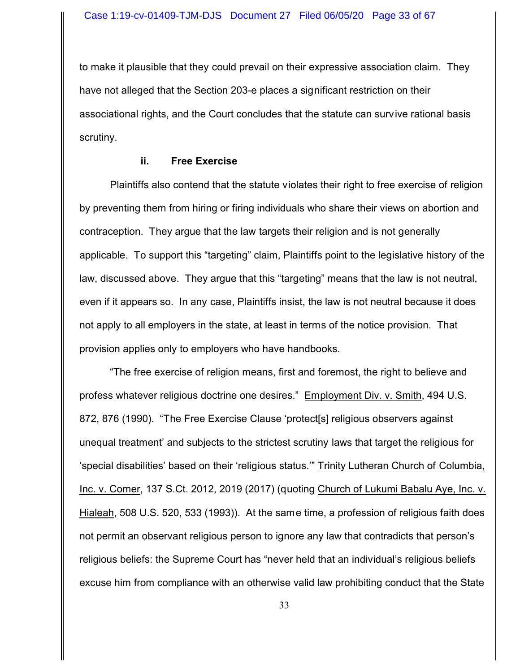to make it plausible that they could prevail on their expressive association claim. They have not alleged that the Section 203-e places a significant restriction on their associational rights, and the Court concludes that the statute can survive rational basis scrutiny.

## **ii. Free Exercise**

Plaintiffs also contend that the statute violates their right to free exercise of religion by preventing them from hiring or firing individuals who share their views on abortion and contraception. They argue that the law targets their religion and is not generally applicable. To support this "targeting" claim, Plaintiffs point to the legislative history of the law, discussed above. They argue that this "targeting" means that the law is not neutral, even if it appears so. In any case, Plaintiffs insist, the law is not neutral because it does not apply to all employers in the state, at least in terms of the notice provision. That provision applies only to employers who have handbooks.

"The free exercise of religion means, first and foremost, the right to believe and profess whatever religious doctrine one desires." Employment Div. v. Smith, 494 U.S. 872, 876 (1990). "The Free Exercise Clause 'protect[s] religious observers against unequal treatment' and subjects to the strictest scrutiny laws that target the religious for 'special disabilities' based on their 'religious status.'" Trinity Lutheran Church of Columbia, Inc. v. Comer, 137 S.Ct. 2012, 2019 (2017) (quoting Church of Lukumi Babalu Aye, Inc. v. Hialeah, 508 U.S. 520, 533 (1993)). At the same time, a profession of religious faith does not permit an observant religious person to ignore any law that contradicts that person's religious beliefs: the Supreme Court has "never held that an individual's religious beliefs excuse him from compliance with an otherwise valid law prohibiting conduct that the State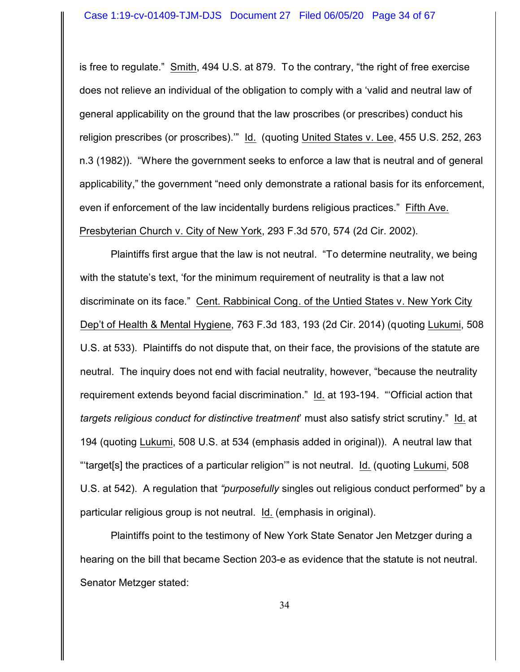is free to regulate." Smith, 494 U.S. at 879. To the contrary, "the right of free exercise does not relieve an individual of the obligation to comply with a 'valid and neutral law of general applicability on the ground that the law proscribes (or prescribes) conduct his religion prescribes (or proscribes).'" Id. (quoting United States v. Lee, 455 U.S. 252, 263 n.3 (1982)). "Where the government seeks to enforce a law that is neutral and of general applicability," the government "need only demonstrate a rational basis for its enforcement, even if enforcement of the law incidentally burdens religious practices." Fifth Ave. Presbyterian Church v. City of New York, 293 F.3d 570, 574 (2d Cir. 2002).

Plaintiffs first argue that the law is not neutral. "To determine neutrality, we being with the statute's text, 'for the minimum requirement of neutrality is that a law not discriminate on its face." Cent. Rabbinical Cong. of the Untied States v. New York City Dep't of Health & Mental Hygiene, 763 F.3d 183, 193 (2d Cir. 2014) (quoting Lukumi, 508 U.S. at 533). Plaintiffs do not dispute that, on their face, the provisions of the statute are neutral. The inquiry does not end with facial neutrality, however, "because the neutrality requirement extends beyond facial discrimination." Id. at 193-194. "'Official action that *targets religious conduct for distinctive treatment*' must also satisfy strict scrutiny." Id. at 194 (quoting Lukumi, 508 U.S. at 534 (emphasis added in original)). A neutral law that "'target[s] the practices of a particular religion'" is not neutral. Id. (quoting Lukumi, 508 U.S. at 542). A regulation that *"purposefully* singles out religious conduct performed" by a particular religious group is not neutral. Id. (emphasis in original).

Plaintiffs point to the testimony of New York State Senator Jen Metzger during a hearing on the bill that became Section 203-e as evidence that the statute is not neutral. Senator Metzger stated: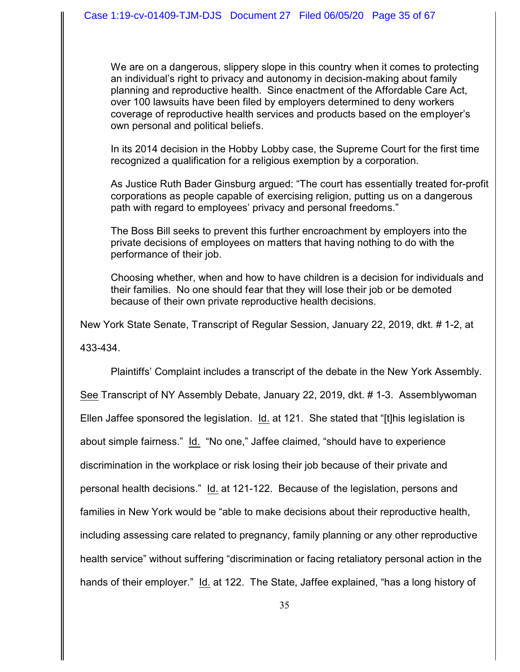We are on a dangerous, slippery slope in this country when it comes to protecting an individual's right to privacy and autonomy in decision-making about family planning and reproductive health. Since enactment of the Affordable Care Act, over 100 lawsuits have been filed by employers determined to deny workers coverage of reproductive health services and products based on the employer's own personal and political beliefs.

In its 2014 decision in the Hobby Lobby case, the Supreme Court for the first time recognized a qualification for a religious exemption by a corporation.

As Justice Ruth Bader Ginsburg argued: "The court has essentially treated for-profit corporations as people capable of exercising religion, putting us on a dangerous path with regard to employees' privacy and personal freedoms."

The Boss Bill seeks to prevent this further encroachment by employers into the private decisions of employees on matters that having nothing to do with the performance of their job.

Choosing whether, when and how to have children is a decision for individuals and their families. No one should fear that they will lose their job or be demoted because of their own private reproductive health decisions.

New York State Senate, Transcript of Regular Session, January 22, 2019, dkt. # 1-2, at

433-434.

Plaintiffs' Complaint includes a transcript of the debate in the New York Assembly. See Transcript of NY Assembly Debate, January 22, 2019, dkt. # 1-3. Assemblywoman Ellen Jaffee sponsored the legislation. Id. at 121. She stated that "[t]his legislation is about simple fairness." Id. "No one," Jaffee claimed, "should have to experience discrimination in the workplace or risk losing their job because of their private and personal health decisions." Id. at 121-122. Because of the legislation, persons and families in New York would be "able to make decisions about their reproductive health, including assessing care related to pregnancy, family planning or any other reproductive health service" without suffering "discrimination or facing retaliatory personal action in the hands of their employer." Id. at 122. The State, Jaffee explained, "has a long history of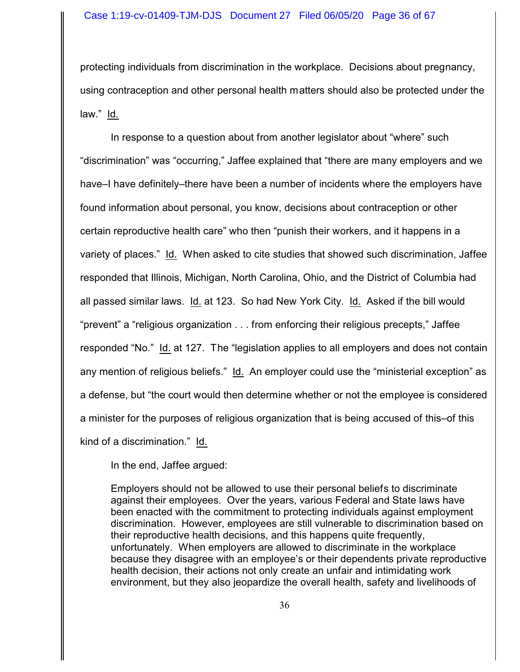protecting individuals from discrimination in the workplace. Decisions about pregnancy, using contraception and other personal health matters should also be protected under the law." Id.

In response to a question about from another legislator about "where" such "discrimination" was "occurring," Jaffee explained that "there are many employers and we have–I have definitely–there have been a number of incidents where the employers have found information about personal, you know, decisions about contraception or other certain reproductive health care" who then "punish their workers, and it happens in a variety of places." Id. When asked to cite studies that showed such discrimination, Jaffee responded that Illinois, Michigan, North Carolina, Ohio, and the District of Columbia had all passed similar laws. Id. at 123. So had New York City. Id. Asked if the bill would "prevent" a "religious organization . . . from enforcing their religious precepts," Jaffee responded "No." Id. at 127. The "legislation applies to all employers and does not contain any mention of religious beliefs." Id. An employer could use the "ministerial exception" as a defense, but "the court would then determine whether or not the employee is considered a minister for the purposes of religious organization that is being accused of this–of this kind of a discrimination." Id.

In the end, Jaffee argued:

Employers should not be allowed to use their personal beliefs to discriminate against their employees. Over the years, various Federal and State laws have been enacted with the commitment to protecting individuals against employment discrimination. However, employees are still vulnerable to discrimination based on their reproductive health decisions, and this happens quite frequently, unfortunately. When employers are allowed to discriminate in the workplace because they disagree with an employee's or their dependents private reproductive health decision, their actions not only create an unfair and intimidating work environment, but they also jeopardize the overall health, safety and livelihoods of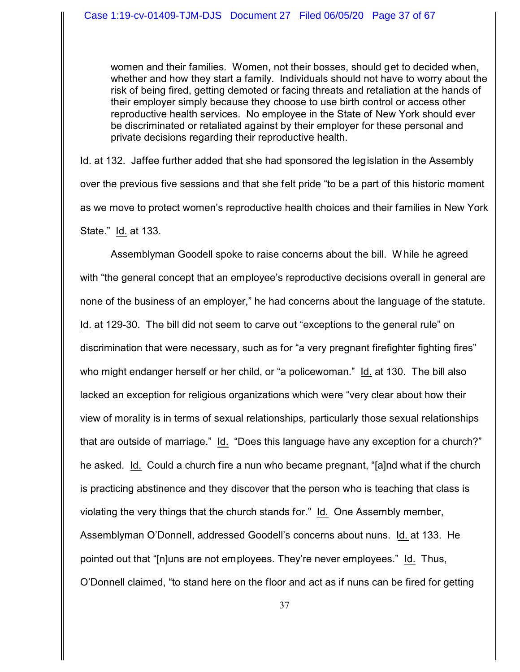women and their families. Women, not their bosses, should get to decided when, whether and how they start a family. Individuals should not have to worry about the risk of being fired, getting demoted or facing threats and retaliation at the hands of their employer simply because they choose to use birth control or access other reproductive health services. No employee in the State of New York should ever be discriminated or retaliated against by their employer for these personal and private decisions regarding their reproductive health.

Id. at 132. Jaffee further added that she had sponsored the legislation in the Assembly over the previous five sessions and that she felt pride "to be a part of this historic moment as we move to protect women's reproductive health choices and their families in New York State." Id. at 133.

Assemblyman Goodell spoke to raise concerns about the bill. While he agreed with "the general concept that an employee's reproductive decisions overall in general are none of the business of an employer," he had concerns about the language of the statute. Id. at 129-30. The bill did not seem to carve out "exceptions to the general rule" on discrimination that were necessary, such as for "a very pregnant firefighter fighting fires" who might endanger herself or her child, or "a policewoman." Id. at 130. The bill also lacked an exception for religious organizations which were "very clear about how their view of morality is in terms of sexual relationships, particularly those sexual relationships that are outside of marriage." Id. "Does this language have any exception for a church?" he asked. Id. Could a church fire a nun who became pregnant, "[a]nd what if the church is practicing abstinence and they discover that the person who is teaching that class is violating the very things that the church stands for." Id. One Assembly member, Assemblyman O'Donnell, addressed Goodell's concerns about nuns. Id. at 133. He pointed out that "[n]uns are not employees. They're never employees." Id. Thus, O'Donnell claimed, "to stand here on the floor and act as if nuns can be fired for getting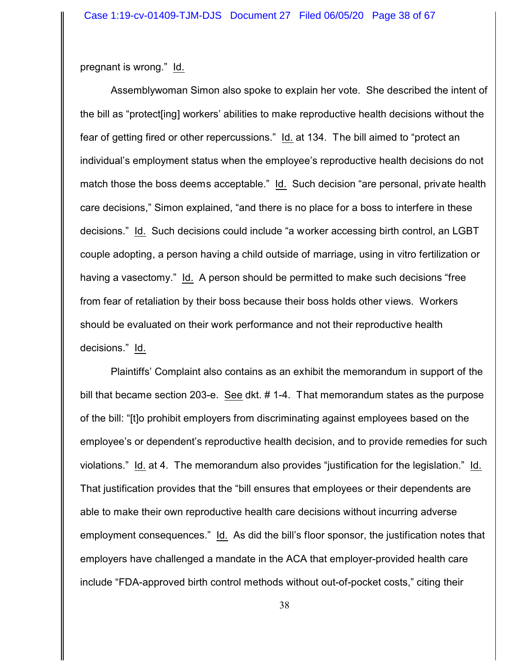pregnant is wrong." Id.

Assemblywoman Simon also spoke to explain her vote. She described the intent of the bill as "protect[ing] workers' abilities to make reproductive health decisions without the fear of getting fired or other repercussions." Id. at 134. The bill aimed to "protect an individual's employment status when the employee's reproductive health decisions do not match those the boss deems acceptable." Id. Such decision "are personal, private health care decisions," Simon explained, "and there is no place for a boss to interfere in these decisions." Id. Such decisions could include "a worker accessing birth control, an LGBT couple adopting, a person having a child outside of marriage, using in vitro fertilization or having a vasectomy." Id. A person should be permitted to make such decisions "free from fear of retaliation by their boss because their boss holds other views. Workers should be evaluated on their work performance and not their reproductive health decisions." Id.

Plaintiffs' Complaint also contains as an exhibit the memorandum in support of the bill that became section 203-e. See dkt. # 1-4. That memorandum states as the purpose of the bill: "[t]o prohibit employers from discriminating against employees based on the employee's or dependent's reproductive health decision, and to provide remedies for such violations." Id. at 4. The memorandum also provides "justification for the legislation." Id. That justification provides that the "bill ensures that employees or their dependents are able to make their own reproductive health care decisions without incurring adverse employment consequences." Id. As did the bill's floor sponsor, the justification notes that employers have challenged a mandate in the ACA that employer-provided health care include "FDA-approved birth control methods without out-of-pocket costs," citing their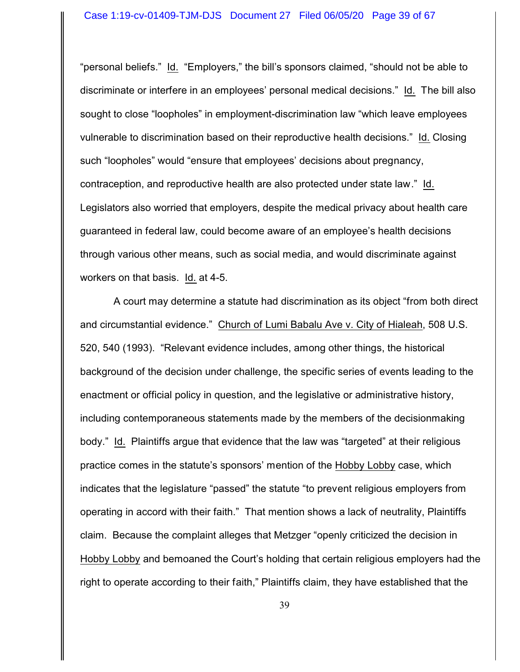"personal beliefs." Id. "Employers," the bill's sponsors claimed, "should not be able to discriminate or interfere in an employees' personal medical decisions." Id. The bill also sought to close "loopholes" in employment-discrimination law "which leave employees vulnerable to discrimination based on their reproductive health decisions." Id. Closing such "loopholes" would "ensure that employees' decisions about pregnancy, contraception, and reproductive health are also protected under state law." Id. Legislators also worried that employers, despite the medical privacy about health care guaranteed in federal law, could become aware of an employee's health decisions through various other means, such as social media, and would discriminate against workers on that basis. Id. at 4-5.

 A court may determine a statute had discrimination as its object "from both direct and circumstantial evidence." Church of Lumi Babalu Ave v. City of Hialeah, 508 U.S. 520, 540 (1993). "Relevant evidence includes, among other things, the historical background of the decision under challenge, the specific series of events leading to the enactment or official policy in question, and the legislative or administrative history, including contemporaneous statements made by the members of the decisionmaking body." Id. Plaintiffs argue that evidence that the law was "targeted" at their religious practice comes in the statute's sponsors' mention of the Hobby Lobby case, which indicates that the legislature "passed" the statute "to prevent religious employers from operating in accord with their faith." That mention shows a lack of neutrality, Plaintiffs claim. Because the complaint alleges that Metzger "openly criticized the decision in Hobby Lobby and bemoaned the Court's holding that certain religious employers had the right to operate according to their faith," Plaintiffs claim, they have established that the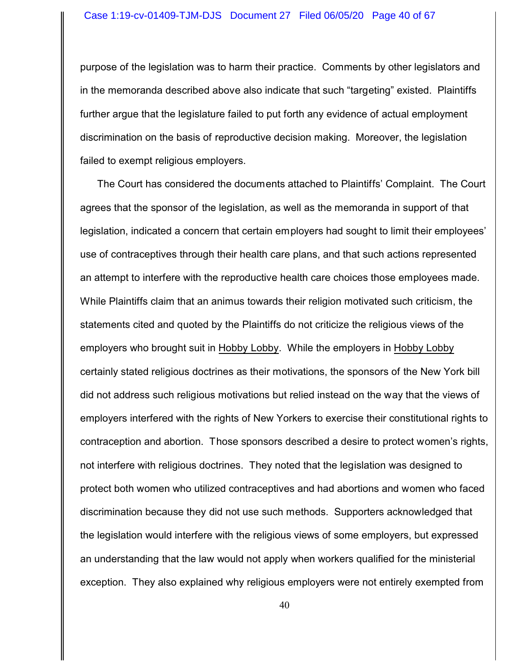purpose of the legislation was to harm their practice. Comments by other legislators and in the memoranda described above also indicate that such "targeting" existed. Plaintiffs further argue that the legislature failed to put forth any evidence of actual employment discrimination on the basis of reproductive decision making. Moreover, the legislation failed to exempt religious employers.

 The Court has considered the documents attached to Plaintiffs' Complaint. The Court agrees that the sponsor of the legislation, as well as the memoranda in support of that legislation, indicated a concern that certain employers had sought to limit their employees' use of contraceptives through their health care plans, and that such actions represented an attempt to interfere with the reproductive health care choices those employees made. While Plaintiffs claim that an animus towards their religion motivated such criticism, the statements cited and quoted by the Plaintiffs do not criticize the religious views of the employers who brought suit in Hobby Lobby. While the employers in Hobby Lobby certainly stated religious doctrines as their motivations, the sponsors of the New York bill did not address such religious motivations but relied instead on the way that the views of employers interfered with the rights of New Yorkers to exercise their constitutional rights to contraception and abortion. Those sponsors described a desire to protect women's rights, not interfere with religious doctrines. They noted that the legislation was designed to protect both women who utilized contraceptives and had abortions and women who faced discrimination because they did not use such methods. Supporters acknowledged that the legislation would interfere with the religious views of some employers, but expressed an understanding that the law would not apply when workers qualified for the ministerial exception. They also explained why religious employers were not entirely exempted from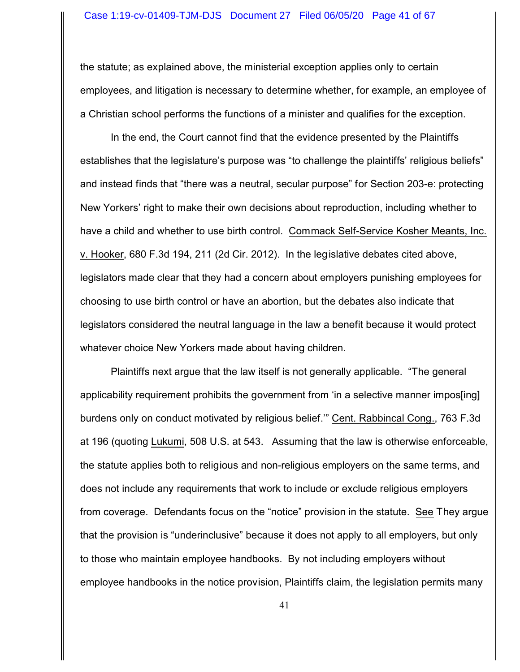the statute; as explained above, the ministerial exception applies only to certain employees, and litigation is necessary to determine whether, for example, an employee of a Christian school performs the functions of a minister and qualifies for the exception.

In the end, the Court cannot find that the evidence presented by the Plaintiffs establishes that the legislature's purpose was "to challenge the plaintiffs' religious beliefs" and instead finds that "there was a neutral, secular purpose" for Section 203-e: protecting New Yorkers' right to make their own decisions about reproduction, including whether to have a child and whether to use birth control. Commack Self-Service Kosher Meants, Inc. v. Hooker, 680 F.3d 194, 211 (2d Cir. 2012). In the legislative debates cited above, legislators made clear that they had a concern about employers punishing employees for choosing to use birth control or have an abortion, but the debates also indicate that legislators considered the neutral language in the law a benefit because it would protect whatever choice New Yorkers made about having children.

Plaintiffs next argue that the law itself is not generally applicable. "The general applicability requirement prohibits the government from 'in a selective manner impos[ing] burdens only on conduct motivated by religious belief.'" Cent. Rabbincal Cong., 763 F.3d at 196 (quoting Lukumi, 508 U.S. at 543. Assuming that the law is otherwise enforceable, the statute applies both to religious and non-religious employers on the same terms, and does not include any requirements that work to include or exclude religious employers from coverage. Defendants focus on the "notice" provision in the statute. See They argue that the provision is "underinclusive" because it does not apply to all employers, but only to those who maintain employee handbooks. By not including employers without employee handbooks in the notice provision, Plaintiffs claim, the legislation permits many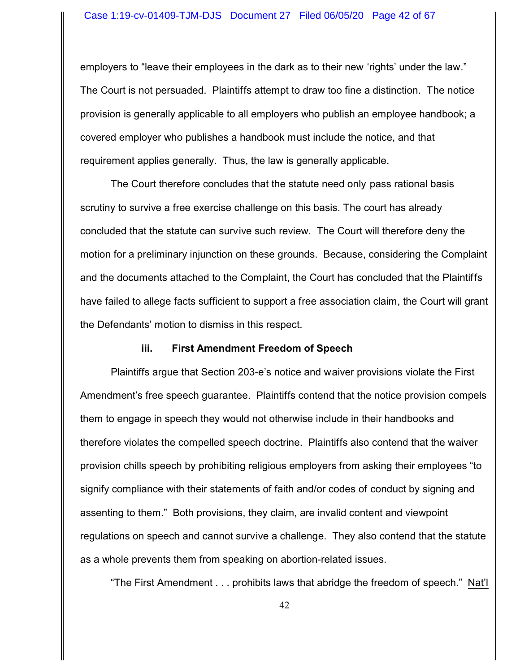employers to "leave their employees in the dark as to their new 'rights' under the law." The Court is not persuaded. Plaintiffs attempt to draw too fine a distinction. The notice provision is generally applicable to all employers who publish an employee handbook; a covered employer who publishes a handbook must include the notice, and that requirement applies generally. Thus, the law is generally applicable.

The Court therefore concludes that the statute need only pass rational basis scrutiny to survive a free exercise challenge on this basis. The court has already concluded that the statute can survive such review. The Court will therefore deny the motion for a preliminary injunction on these grounds. Because, considering the Complaint and the documents attached to the Complaint, the Court has concluded that the Plaintiffs have failed to allege facts sufficient to support a free association claim, the Court will grant the Defendants' motion to dismiss in this respect.

#### **iii. First Amendment Freedom of Speech**

Plaintiffs argue that Section 203-e's notice and waiver provisions violate the First Amendment's free speech guarantee. Plaintiffs contend that the notice provision compels them to engage in speech they would not otherwise include in their handbooks and therefore violates the compelled speech doctrine. Plaintiffs also contend that the waiver provision chills speech by prohibiting religious employers from asking their employees "to signify compliance with their statements of faith and/or codes of conduct by signing and assenting to them." Both provisions, they claim, are invalid content and viewpoint regulations on speech and cannot survive a challenge. They also contend that the statute as a whole prevents them from speaking on abortion-related issues.

"The First Amendment . . . prohibits laws that abridge the freedom of speech." Nat'l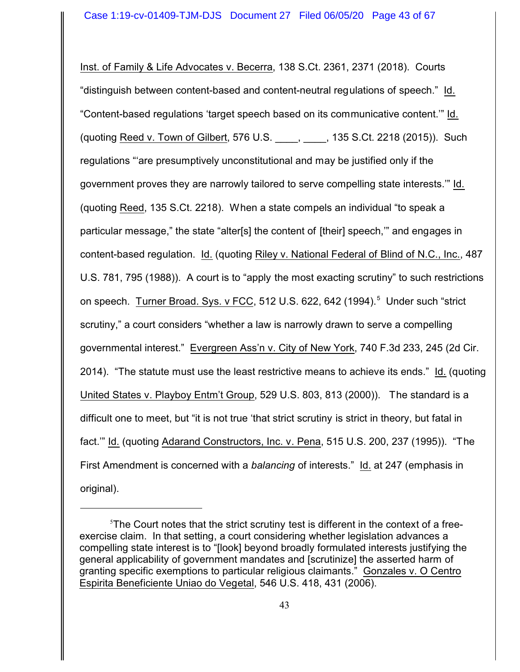Inst. of Family & Life Advocates v. Becerra, 138 S.Ct. 2361, 2371 (2018). Courts "distinguish between content-based and content-neutral regulations of speech." Id. "Content-based regulations 'target speech based on its communicative content.'" Id. (quoting Reed v. Town of Gilbert, 576 U.S. \_\_\_\_, \_\_\_\_, 135 S.Ct. 2218 (2015)). Such regulations "'are presumptively unconstitutional and may be justified only if the government proves they are narrowly tailored to serve compelling state interests.'" Id. (quoting Reed, 135 S.Ct. 2218). When a state compels an individual "to speak a particular message," the state "alter[s] the content of [their] speech,'" and engages in content-based regulation. Id. (quoting Riley v. National Federal of Blind of N.C., Inc., 487 U.S. 781, 795 (1988)). A court is to "apply the most exacting scrutiny" to such restrictions on speech. Turner Broad. Sys. v FCC, 512 U.S. 622, 642 (1994).<sup>5</sup> Under such "strict scrutiny," a court considers "whether a law is narrowly drawn to serve a compelling governmental interest." Evergreen Ass'n v. City of New York, 740 F.3d 233, 245 (2d Cir. 2014). "The statute must use the least restrictive means to achieve its ends." Id. (quoting United States v. Playboy Entm't Group, 529 U.S. 803, 813 (2000)). The standard is a difficult one to meet, but "it is not true 'that strict scrutiny is strict in theory, but fatal in fact.'" Id. (quoting Adarand Constructors, Inc. v. Pena, 515 U.S. 200, 237 (1995)). "The First Amendment is concerned with a *balancing* of interests." Id. at 247 (emphasis in original).

 $5$ The Court notes that the strict scrutiny test is different in the context of a freeexercise claim. In that setting, a court considering whether legislation advances a compelling state interest is to "[look] beyond broadly formulated interests justifying the general applicability of government mandates and [scrutinize] the asserted harm of granting specific exemptions to particular religious claimants." Gonzales v. O Centro Espirita Beneficiente Uniao do Vegetal, 546 U.S. 418, 431 (2006).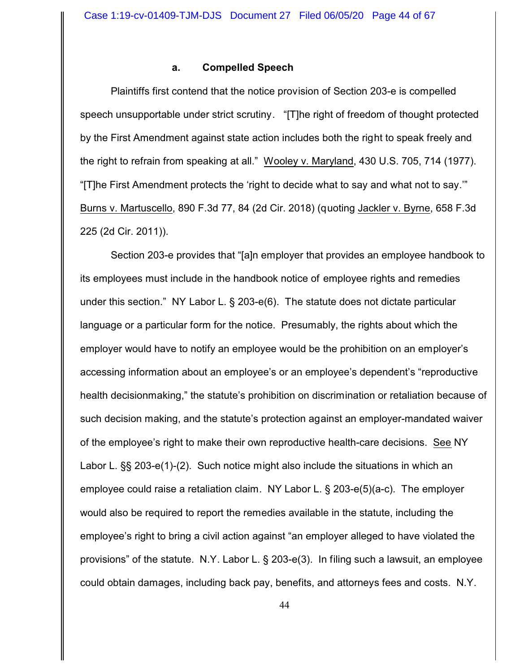#### **a. Compelled Speech**

Plaintiffs first contend that the notice provision of Section 203-e is compelled speech unsupportable under strict scrutiny. "[T]he right of freedom of thought protected by the First Amendment against state action includes both the right to speak freely and the right to refrain from speaking at all." Wooley v. Maryland, 430 U.S. 705, 714 (1977). "[T]he First Amendment protects the 'right to decide what to say and what not to say.'" Burns v. Martuscello, 890 F.3d 77, 84 (2d Cir. 2018) (quoting Jackler v. Byrne, 658 F.3d 225 (2d Cir. 2011)).

Section 203-e provides that "[a]n employer that provides an employee handbook to its employees must include in the handbook notice of employee rights and remedies under this section." NY Labor L. § 203-e(6). The statute does not dictate particular language or a particular form for the notice. Presumably, the rights about which the employer would have to notify an employee would be the prohibition on an employer's accessing information about an employee's or an employee's dependent's "reproductive health decisionmaking," the statute's prohibition on discrimination or retaliation because of such decision making, and the statute's protection against an employer-mandated waiver of the employee's right to make their own reproductive health-care decisions. See NY Labor L. §§ 203-e(1)-(2). Such notice might also include the situations in which an employee could raise a retaliation claim. NY Labor L. § 203-e(5)(a-c). The employer would also be required to report the remedies available in the statute, including the employee's right to bring a civil action against "an employer alleged to have violated the provisions" of the statute. N.Y. Labor L. § 203-e(3). In filing such a lawsuit, an employee could obtain damages, including back pay, benefits, and attorneys fees and costs. N.Y.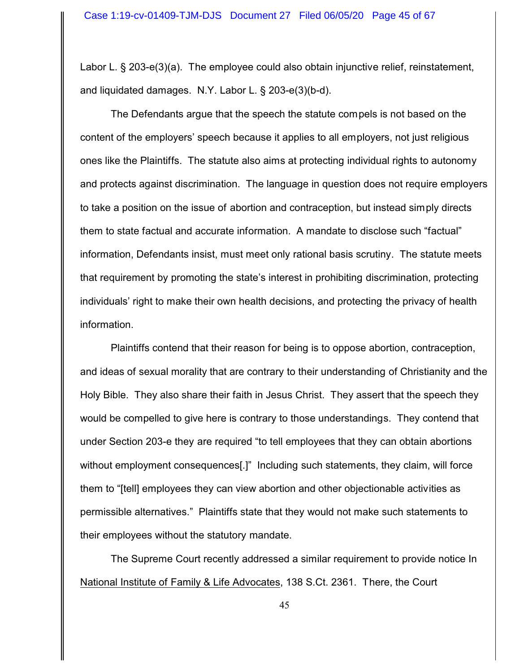Labor L. § 203-e(3)(a). The employee could also obtain injunctive relief, reinstatement, and liquidated damages. N.Y. Labor L. § 203-e(3)(b-d).

The Defendants argue that the speech the statute compels is not based on the content of the employers' speech because it applies to all employers, not just religious ones like the Plaintiffs. The statute also aims at protecting individual rights to autonomy and protects against discrimination. The language in question does not require employers to take a position on the issue of abortion and contraception, but instead simply directs them to state factual and accurate information. A mandate to disclose such "factual" information, Defendants insist, must meet only rational basis scrutiny. The statute meets that requirement by promoting the state's interest in prohibiting discrimination, protecting individuals' right to make their own health decisions, and protecting the privacy of health information.

Plaintiffs contend that their reason for being is to oppose abortion, contraception, and ideas of sexual morality that are contrary to their understanding of Christianity and the Holy Bible. They also share their faith in Jesus Christ. They assert that the speech they would be compelled to give here is contrary to those understandings. They contend that under Section 203-e they are required "to tell employees that they can obtain abortions without employment consequences[.]" Including such statements, they claim, will force them to "[tell] employees they can view abortion and other objectionable activities as permissible alternatives." Plaintiffs state that they would not make such statements to their employees without the statutory mandate.

The Supreme Court recently addressed a similar requirement to provide notice In National Institute of Family & Life Advocates, 138 S.Ct. 2361. There, the Court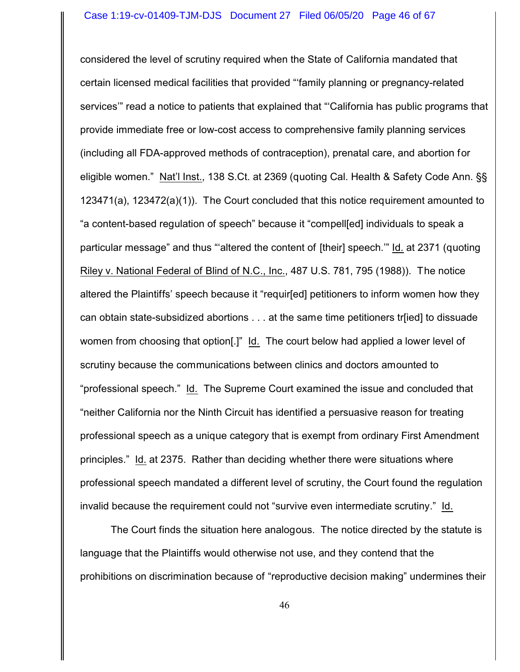considered the level of scrutiny required when the State of California mandated that certain licensed medical facilities that provided "'family planning or pregnancy-related services'" read a notice to patients that explained that "'California has public programs that provide immediate free or low-cost access to comprehensive family planning services (including all FDA-approved methods of contraception), prenatal care, and abortion for eligible women."Nat'l Inst., 138 S.Ct. at 2369 (quoting Cal. Health & Safety Code Ann. §§ 123471(a), 123472(a)(1)). The Court concluded that this notice requirement amounted to "a content-based regulation of speech" because it "compell[ed] individuals to speak a particular message" and thus "'altered the content of [their] speech.'" Id. at 2371 (quoting Riley v. National Federal of Blind of N.C., Inc., 487 U.S. 781, 795 (1988)). The notice altered the Plaintiffs' speech because it "requir[ed] petitioners to inform women how they can obtain state-subsidized abortions . . . at the same time petitioners tr[ied] to dissuade women from choosing that option[.]" Id. The court below had applied a lower level of scrutiny because the communications between clinics and doctors amounted to "professional speech." Id. The Supreme Court examined the issue and concluded that "neither California nor the Ninth Circuit has identified a persuasive reason for treating professional speech as a unique category that is exempt from ordinary First Amendment principles." Id. at 2375. Rather than deciding whether there were situations where professional speech mandated a different level of scrutiny, the Court found the regulation invalid because the requirement could not "survive even intermediate scrutiny." Id.

The Court finds the situation here analogous. The notice directed by the statute is language that the Plaintiffs would otherwise not use, and they contend that the prohibitions on discrimination because of "reproductive decision making" undermines their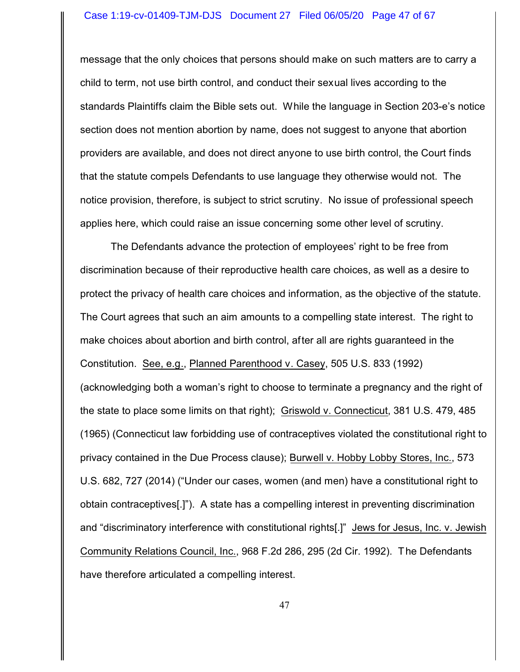#### Case 1:19-cv-01409-TJM-DJS Document 27 Filed 06/05/20 Page 47 of 67

message that the only choices that persons should make on such matters are to carry a child to term, not use birth control, and conduct their sexual lives according to the standards Plaintiffs claim the Bible sets out. While the language in Section 203-e's notice section does not mention abortion by name, does not suggest to anyone that abortion providers are available, and does not direct anyone to use birth control, the Court finds that the statute compels Defendants to use language they otherwise would not. The notice provision, therefore, is subject to strict scrutiny. No issue of professional speech applies here, which could raise an issue concerning some other level of scrutiny.

The Defendants advance the protection of employees' right to be free from discrimination because of their reproductive health care choices, as well as a desire to protect the privacy of health care choices and information, as the objective of the statute. The Court agrees that such an aim amounts to a compelling state interest. The right to make choices about abortion and birth control, after all are rights guaranteed in the Constitution. See, e.g., Planned Parenthood v. Casey, 505 U.S. 833 (1992) (acknowledging both a woman's right to choose to terminate a pregnancy and the right of the state to place some limits on that right); Griswold v. Connecticut, 381 U.S. 479, 485 (1965) (Connecticut law forbidding use of contraceptives violated the constitutional right to privacy contained in the Due Process clause); Burwell v. Hobby Lobby Stores, Inc., 573 U.S. 682, 727 (2014) ("Under our cases, women (and men) have a constitutional right to obtain contraceptives[.]"). A state has a compelling interest in preventing discrimination and "discriminatory interference with constitutional rights[.]" Jews for Jesus, Inc. v. Jewish Community Relations Council, Inc., 968 F.2d 286, 295 (2d Cir. 1992). The Defendants have therefore articulated a compelling interest.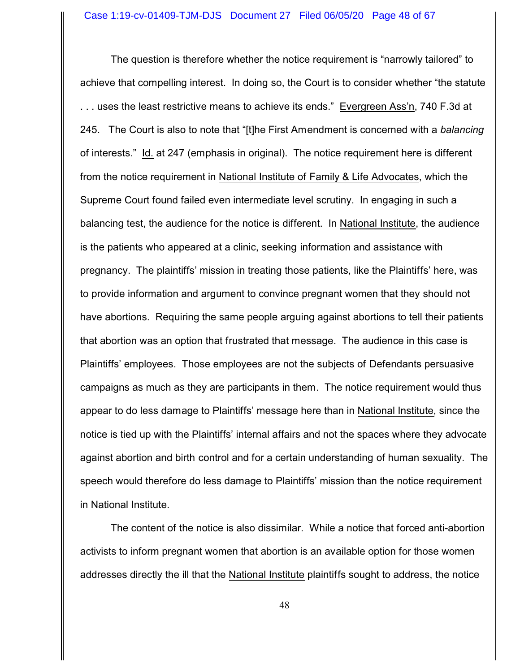The question is therefore whether the notice requirement is "narrowly tailored" to achieve that compelling interest. In doing so, the Court is to consider whether "the statute . . . uses the least restrictive means to achieve its ends." Evergreen Ass'n, 740 F.3d at 245. The Court is also to note that "[t]he First Amendment is concerned with a *balancing* of interests." Id. at 247 (emphasis in original). The notice requirement here is different from the notice requirement in National Institute of Family & Life Advocates, which the Supreme Court found failed even intermediate level scrutiny. In engaging in such a balancing test, the audience for the notice is different. In National Institute, the audience is the patients who appeared at a clinic, seeking information and assistance with pregnancy. The plaintiffs' mission in treating those patients, like the Plaintiffs' here, was to provide information and argument to convince pregnant women that they should not have abortions. Requiring the same people arguing against abortions to tell their patients that abortion was an option that frustrated that message. The audience in this case is Plaintiffs' employees. Those employees are not the subjects of Defendants persuasive campaigns as much as they are participants in them. The notice requirement would thus appear to do less damage to Plaintiffs' message here than in National Institute, since the notice is tied up with the Plaintiffs' internal affairs and not the spaces where they advocate against abortion and birth control and for a certain understanding of human sexuality. The speech would therefore do less damage to Plaintiffs' mission than the notice requirement in National Institute.

The content of the notice is also dissimilar. While a notice that forced anti-abortion activists to inform pregnant women that abortion is an available option for those women addresses directly the ill that the National Institute plaintiffs sought to address, the notice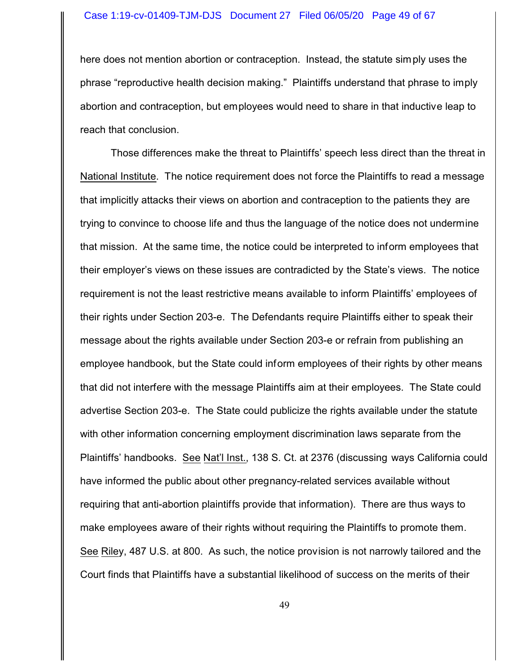here does not mention abortion or contraception. Instead, the statute simply uses the phrase "reproductive health decision making." Plaintiffs understand that phrase to imply abortion and contraception, but employees would need to share in that inductive leap to reach that conclusion.

Those differences make the threat to Plaintiffs' speech less direct than the threat in National Institute. The notice requirement does not force the Plaintiffs to read a message that implicitly attacks their views on abortion and contraception to the patients they are trying to convince to choose life and thus the language of the notice does not undermine that mission. At the same time, the notice could be interpreted to inform employees that their employer's views on these issues are contradicted by the State's views. The notice requirement is not the least restrictive means available to inform Plaintiffs' employees of their rights under Section 203-e. The Defendants require Plaintiffs either to speak their message about the rights available under Section 203-e or refrain from publishing an employee handbook, but the State could inform employees of their rights by other means that did not interfere with the message Plaintiffs aim at their employees. The State could advertise Section 203-e. The State could publicize the rights available under the statute with other information concerning employment discrimination laws separate from the Plaintiffs' handbooks. See Nat'l Inst., 138 S. Ct. at 2376 (discussing ways California could have informed the public about other pregnancy-related services available without requiring that anti-abortion plaintiffs provide that information). There are thus ways to make employees aware of their rights without requiring the Plaintiffs to promote them. See Riley, 487 U.S. at 800. As such, the notice provision is not narrowly tailored and the Court finds that Plaintiffs have a substantial likelihood of success on the merits of their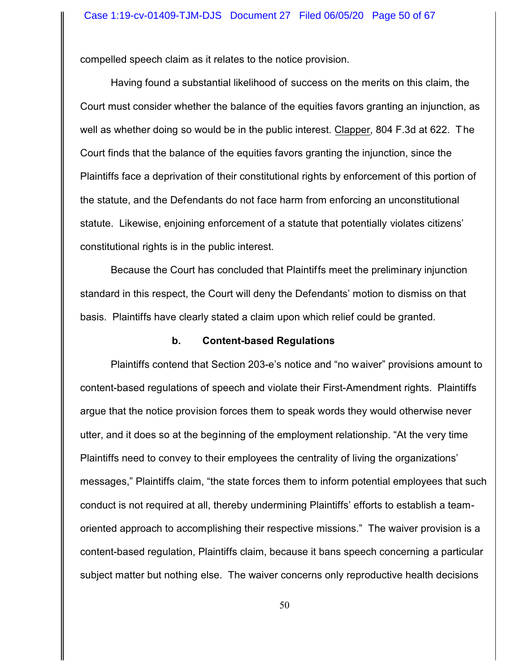compelled speech claim as it relates to the notice provision.

Having found a substantial likelihood of success on the merits on this claim, the Court must consider whether the balance of the equities favors granting an injunction, as well as whether doing so would be in the public interest. Clapper, 804 F.3d at 622. The Court finds that the balance of the equities favors granting the injunction, since the Plaintiffs face a deprivation of their constitutional rights by enforcement of this portion of the statute, and the Defendants do not face harm from enforcing an unconstitutional statute. Likewise, enjoining enforcement of a statute that potentially violates citizens' constitutional rights is in the public interest.

Because the Court has concluded that Plaintiffs meet the preliminary injunction standard in this respect, the Court will deny the Defendants' motion to dismiss on that basis. Plaintiffs have clearly stated a claim upon which relief could be granted.

#### **b. Content-based Regulations**

Plaintiffs contend that Section 203-e's notice and "no waiver" provisions amount to content-based regulations of speech and violate their First-Amendment rights. Plaintiffs argue that the notice provision forces them to speak words they would otherwise never utter, and it does so at the beginning of the employment relationship. "At the very time Plaintiffs need to convey to their employees the centrality of living the organizations' messages," Plaintiffs claim, "the state forces them to inform potential employees that such conduct is not required at all, thereby undermining Plaintiffs' efforts to establish a teamoriented approach to accomplishing their respective missions." The waiver provision is a content-based regulation, Plaintiffs claim, because it bans speech concerning a particular subject matter but nothing else. The waiver concerns only reproductive health decisions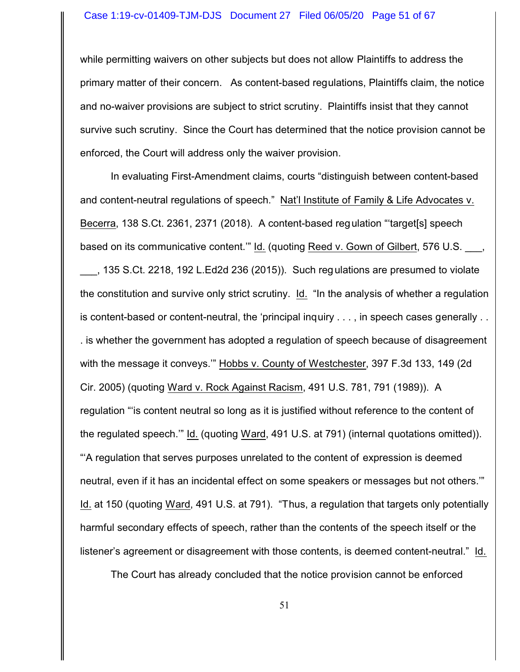while permitting waivers on other subjects but does not allow Plaintiffs to address the primary matter of their concern. As content-based regulations, Plaintiffs claim, the notice and no-waiver provisions are subject to strict scrutiny. Plaintiffs insist that they cannot survive such scrutiny. Since the Court has determined that the notice provision cannot be enforced, the Court will address only the waiver provision.

In evaluating First-Amendment claims, courts "distinguish between content-based and content-neutral regulations of speech." Nat'l Institute of Family & Life Advocates v. Becerra, 138 S.Ct. 2361, 2371 (2018). A content-based regulation "'target[s] speech based on its communicative content." Id. (quoting Reed v. Gown of Gilbert, 576 U.S. \_\_\_, 135 S.Ct. 2218, 192 L.Ed2d 236 (2015)). Such regulations are presumed to violate the constitution and survive only strict scrutiny. Id. "In the analysis of whether a regulation is content-based or content-neutral, the 'principal inquiry . . . , in speech cases generally . . . is whether the government has adopted a regulation of speech because of disagreement with the message it conveys.'" Hobbs v. County of Westchester, 397 F.3d 133, 149 (2d Cir. 2005) (quoting Ward v. Rock Against Racism, 491 U.S. 781, 791 (1989)). A regulation "'is content neutral so long as it is justified without reference to the content of the regulated speech.'" Id. (quoting Ward, 491 U.S. at 791) (internal quotations omitted)). "'A regulation that serves purposes unrelated to the content of expression is deemed neutral, even if it has an incidental effect on some speakers or messages but not others.'" Id. at 150 (quoting Ward, 491 U.S. at 791). "Thus, a regulation that targets only potentially harmful secondary effects of speech, rather than the contents of the speech itself or the listener's agreement or disagreement with those contents, is deemed content-neutral." Id.

The Court has already concluded that the notice provision cannot be enforced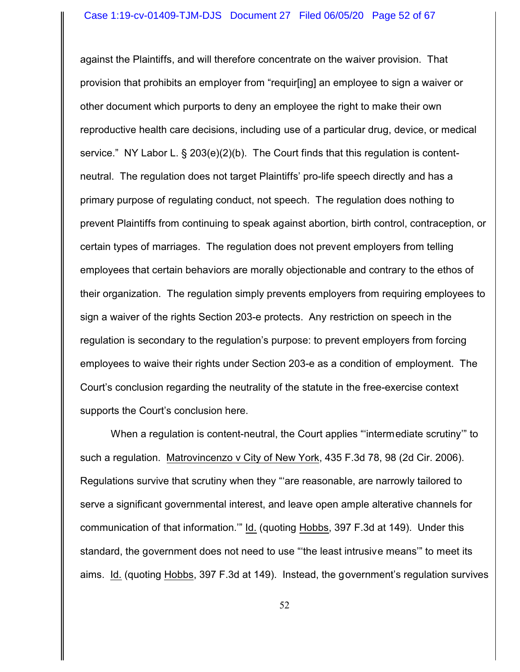against the Plaintiffs, and will therefore concentrate on the waiver provision. That provision that prohibits an employer from "requir[ing] an employee to sign a waiver or other document which purports to deny an employee the right to make their own reproductive health care decisions, including use of a particular drug, device, or medical service." NY Labor L. § 203(e)(2)(b). The Court finds that this regulation is contentneutral. The regulation does not target Plaintiffs' pro-life speech directly and has a primary purpose of regulating conduct, not speech. The regulation does nothing to prevent Plaintiffs from continuing to speak against abortion, birth control, contraception, or certain types of marriages. The regulation does not prevent employers from telling employees that certain behaviors are morally objectionable and contrary to the ethos of their organization. The regulation simply prevents employers from requiring employees to sign a waiver of the rights Section 203-e protects. Any restriction on speech in the regulation is secondary to the regulation's purpose: to prevent employers from forcing employees to waive their rights under Section 203-e as a condition of employment. The Court's conclusion regarding the neutrality of the statute in the free-exercise context supports the Court's conclusion here.

When a regulation is content-neutral, the Court applies "'intermediate scrutiny'" to such a regulation. Matrovincenzo v City of New York, 435 F.3d 78, 98 (2d Cir. 2006). Regulations survive that scrutiny when they "'are reasonable, are narrowly tailored to serve a significant governmental interest, and leave open ample alterative channels for communication of that information.'" Id. (quoting Hobbs, 397 F.3d at 149). Under this standard, the government does not need to use "'the least intrusive means'" to meet its aims. Id. (quoting Hobbs, 397 F.3d at 149). Instead, the government's regulation survives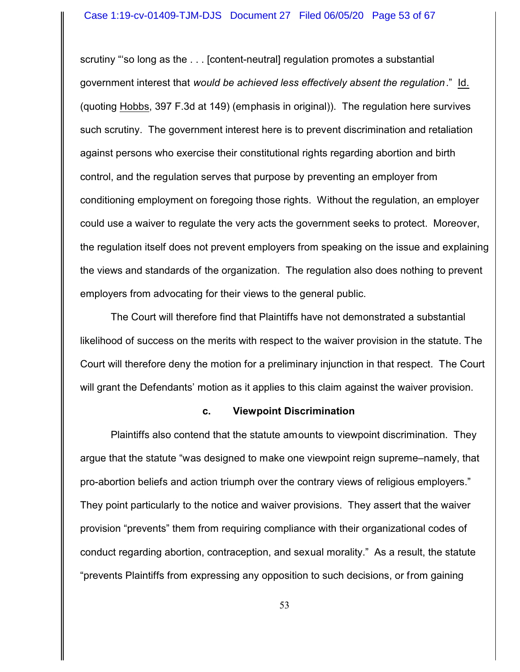scrutiny "'so long as the . . . [content-neutral] regulation promotes a substantial government interest that *would be achieved less effectively absent the regulation*." Id. (quoting Hobbs, 397 F.3d at 149) (emphasis in original)). The regulation here survives such scrutiny. The government interest here is to prevent discrimination and retaliation against persons who exercise their constitutional rights regarding abortion and birth control, and the regulation serves that purpose by preventing an employer from conditioning employment on foregoing those rights. Without the regulation, an employer could use a waiver to regulate the very acts the government seeks to protect. Moreover, the regulation itself does not prevent employers from speaking on the issue and explaining the views and standards of the organization. The regulation also does nothing to prevent employers from advocating for their views to the general public.

The Court will therefore find that Plaintiffs have not demonstrated a substantial likelihood of success on the merits with respect to the waiver provision in the statute. The Court will therefore deny the motion for a preliminary injunction in that respect. The Court will grant the Defendants' motion as it applies to this claim against the waiver provision.

## **c. Viewpoint Discrimination**

Plaintiffs also contend that the statute amounts to viewpoint discrimination. They argue that the statute "was designed to make one viewpoint reign supreme–namely, that pro-abortion beliefs and action triumph over the contrary views of religious employers." They point particularly to the notice and waiver provisions. They assert that the waiver provision "prevents" them from requiring compliance with their organizational codes of conduct regarding abortion, contraception, and sexual morality." As a result, the statute "prevents Plaintiffs from expressing any opposition to such decisions, or from gaining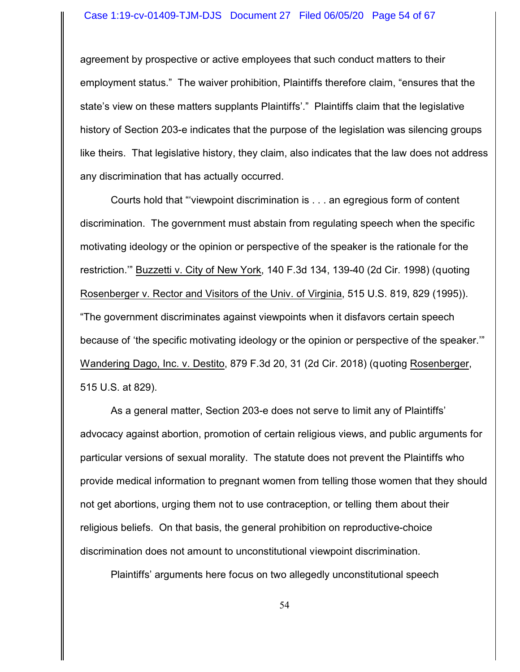#### Case 1:19-cv-01409-TJM-DJS Document 27 Filed 06/05/20 Page 54 of 67

agreement by prospective or active employees that such conduct matters to their employment status." The waiver prohibition, Plaintiffs therefore claim, "ensures that the state's view on these matters supplants Plaintiffs'." Plaintiffs claim that the legislative history of Section 203-e indicates that the purpose of the legislation was silencing groups like theirs. That legislative history, they claim, also indicates that the law does not address any discrimination that has actually occurred.

Courts hold that "'viewpoint discrimination is . . . an egregious form of content discrimination. The government must abstain from regulating speech when the specific motivating ideology or the opinion or perspective of the speaker is the rationale for the restriction.'" Buzzetti v. City of New York, 140 F.3d 134, 139-40 (2d Cir. 1998) (quoting Rosenberger v. Rector and Visitors of the Univ. of Virginia, 515 U.S. 819, 829 (1995)). "The government discriminates against viewpoints when it disfavors certain speech because of 'the specific motivating ideology or the opinion or perspective of the speaker.'" Wandering Dago, Inc. v. Destito, 879 F.3d 20, 31 (2d Cir. 2018) (quoting Rosenberger, 515 U.S. at 829).

As a general matter, Section 203-e does not serve to limit any of Plaintiffs' advocacy against abortion, promotion of certain religious views, and public arguments for particular versions of sexual morality. The statute does not prevent the Plaintiffs who provide medical information to pregnant women from telling those women that they should not get abortions, urging them not to use contraception, or telling them about their religious beliefs. On that basis, the general prohibition on reproductive-choice discrimination does not amount to unconstitutional viewpoint discrimination.

Plaintiffs' arguments here focus on two allegedly unconstitutional speech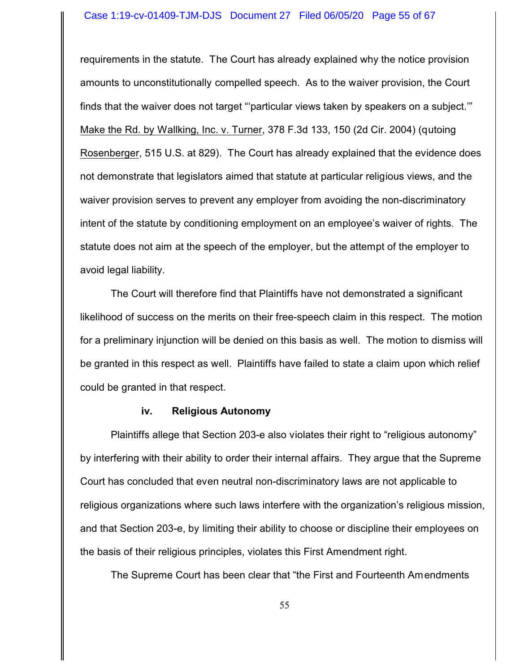requirements in the statute. The Court has already explained why the notice provision amounts to unconstitutionally compelled speech. As to the waiver provision, the Court finds that the waiver does not target "'particular views taken by speakers on a subject.'" Make the Rd. by Wallking, Inc. v. Turner, 378 F.3d 133, 150 (2d Cir. 2004) (qutoing Rosenberger, 515 U.S. at 829). The Court has already explained that the evidence does not demonstrate that legislators aimed that statute at particular religious views, and the waiver provision serves to prevent any employer from avoiding the non-discriminatory intent of the statute by conditioning employment on an employee's waiver of rights. The statute does not aim at the speech of the employer, but the attempt of the employer to avoid legal liability.

The Court will therefore find that Plaintiffs have not demonstrated a significant likelihood of success on the merits on their free-speech claim in this respect. The motion for a preliminary injunction will be denied on this basis as well. The motion to dismiss will be granted in this respect as well. Plaintiffs have failed to state a claim upon which relief could be granted in that respect.

## **iv. Religious Autonomy**

Plaintiffs allege that Section 203-e also violates their right to "religious autonomy" by interfering with their ability to order their internal affairs. They argue that the Supreme Court has concluded that even neutral non-discriminatory laws are not applicable to religious organizations where such laws interfere with the organization's religious mission, and that Section 203-e, by limiting their ability to choose or discipline their employees on the basis of their religious principles, violates this First Amendment right.

The Supreme Court has been clear that "the First and Fourteenth Amendments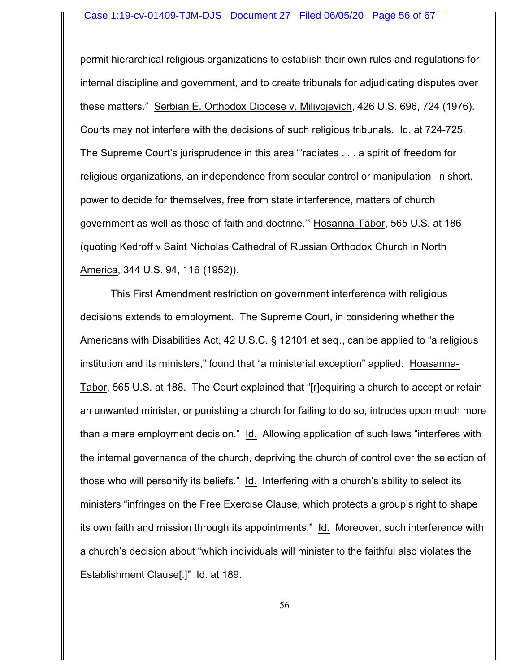permit hierarchical religious organizations to establish their own rules and regulations for internal discipline and government, and to create tribunals for adjudicating disputes over these matters." Serbian E. Orthodox Diocese v. Milivojevich, 426 U.S. 696, 724 (1976). Courts may not interfere with the decisions of such religious tribunals. Id. at 724-725. The Supreme Court's jurisprudence in this area "'radiates . . . a spirit of freedom for religious organizations, an independence from secular control or manipulation–in short, power to decide for themselves, free from state interference, matters of church government as well as those of faith and doctrine.'" Hosanna-Tabor, 565 U.S. at 186 (quoting Kedroff v Saint Nicholas Cathedral of Russian Orthodox Church in North America, 344 U.S. 94, 116 (1952)).

This First Amendment restriction on government interference with religious decisions extends to employment. The Supreme Court, in considering whether the Americans with Disabilities Act, 42 U.S.C. § 12101 et seq., can be applied to "a religious institution and its ministers," found that "a ministerial exception" applied. Hoasanna-Tabor, 565 U.S. at 188. The Court explained that "[r]equiring a church to accept or retain an unwanted minister, or punishing a church for failing to do so, intrudes upon much more than a mere employment decision." Id. Allowing application of such laws "interferes with the internal governance of the church, depriving the church of control over the selection of those who will personify its beliefs." Id. Interfering with a church's ability to select its ministers "infringes on the Free Exercise Clause, which protects a group's right to shape its own faith and mission through its appointments." Id. Moreover, such interference with a church's decision about "which individuals will minister to the faithful also violates the Establishment Clause[.]" Id. at 189.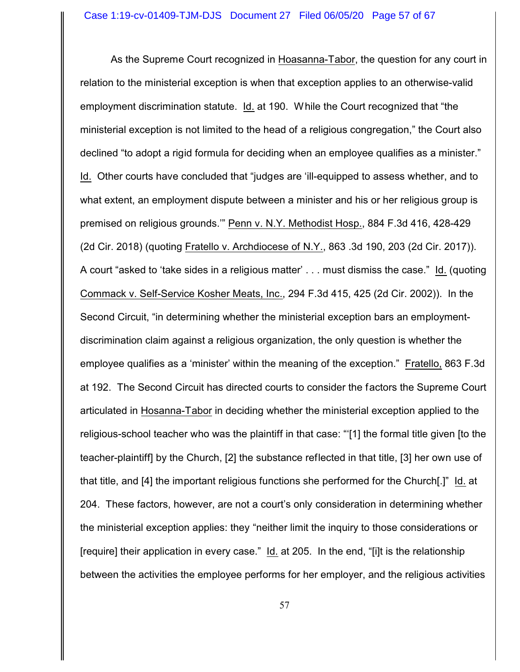As the Supreme Court recognized in Hoasanna-Tabor, the question for any court in relation to the ministerial exception is when that exception applies to an otherwise-valid employment discrimination statute. Id. at 190. While the Court recognized that "the ministerial exception is not limited to the head of a religious congregation," the Court also declined "to adopt a rigid formula for deciding when an employee qualifies as a minister." Id. Other courts have concluded that "judges are 'ill-equipped to assess whether, and to what extent, an employment dispute between a minister and his or her religious group is premised on religious grounds.'" Penn v. N.Y. Methodist Hosp., 884 F.3d 416, 428-429 (2d Cir. 2018) (quoting Fratello v. Archdiocese of N.Y., 863 .3d 190, 203 (2d Cir. 2017)). A court "asked to 'take sides in a religious matter' . . . must dismiss the case." Id. (quoting Commack v. Self-Service Kosher Meats, Inc., 294 F.3d 415, 425 (2d Cir. 2002)). In the Second Circuit, "in determining whether the ministerial exception bars an employmentdiscrimination claim against a religious organization, the only question is whether the employee qualifies as a 'minister' within the meaning of the exception." Fratello, 863 F.3d at 192. The Second Circuit has directed courts to consider the factors the Supreme Court articulated in Hosanna-Tabor in deciding whether the ministerial exception applied to the religious-school teacher who was the plaintiff in that case: "'[1] the formal title given [to the teacher-plaintiff] by the Church, [2] the substance reflected in that title, [3] her own use of that title, and [4] the important religious functions she performed for the Church[.]" Id. at 204. These factors, however, are not a court's only consideration in determining whether the ministerial exception applies: they "neither limit the inquiry to those considerations or [require] their application in every case." Id. at 205. In the end, "[i]t is the relationship between the activities the employee performs for her employer, and the religious activities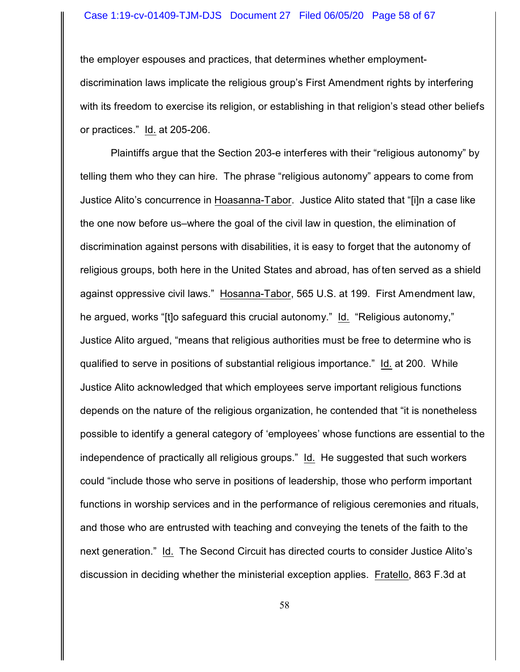the employer espouses and practices, that determines whether employmentdiscrimination laws implicate the religious group's First Amendment rights by interfering with its freedom to exercise its religion, or establishing in that religion's stead other beliefs or practices." Id. at 205-206.

Plaintiffs argue that the Section 203-e interferes with their "religious autonomy" by telling them who they can hire. The phrase "religious autonomy" appears to come from Justice Alito's concurrence in Hoasanna-Tabor. Justice Alito stated that "[i]n a case like the one now before us–where the goal of the civil law in question, the elimination of discrimination against persons with disabilities, it is easy to forget that the autonomy of religious groups, both here in the United States and abroad, has of ten served as a shield against oppressive civil laws." Hosanna-Tabor, 565 U.S. at 199. First Amendment law, he argued, works "[t]o safeguard this crucial autonomy." Id. "Religious autonomy," Justice Alito argued, "means that religious authorities must be free to determine who is qualified to serve in positions of substantial religious importance." Id. at 200. While Justice Alito acknowledged that which employees serve important religious functions depends on the nature of the religious organization, he contended that "it is nonetheless possible to identify a general category of 'employees' whose functions are essential to the independence of practically all religious groups." Id. He suggested that such workers could "include those who serve in positions of leadership, those who perform important functions in worship services and in the performance of religious ceremonies and rituals, and those who are entrusted with teaching and conveying the tenets of the faith to the next generation." Id. The Second Circuit has directed courts to consider Justice Alito's discussion in deciding whether the ministerial exception applies. Fratello, 863 F.3d at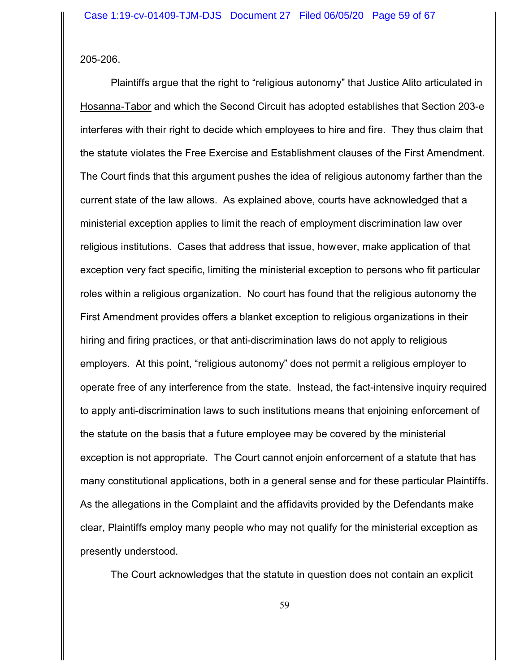205-206.

Plaintiffs argue that the right to "religious autonomy" that Justice Alito articulated in Hosanna-Tabor and which the Second Circuit has adopted establishes that Section 203-e interferes with their right to decide which employees to hire and fire. They thus claim that the statute violates the Free Exercise and Establishment clauses of the First Amendment. The Court finds that this argument pushes the idea of religious autonomy farther than the current state of the law allows. As explained above, courts have acknowledged that a ministerial exception applies to limit the reach of employment discrimination law over religious institutions. Cases that address that issue, however, make application of that exception very fact specific, limiting the ministerial exception to persons who fit particular roles within a religious organization. No court has found that the religious autonomy the First Amendment provides offers a blanket exception to religious organizations in their hiring and firing practices, or that anti-discrimination laws do not apply to religious employers. At this point, "religious autonomy" does not permit a religious employer to operate free of any interference from the state. Instead, the fact-intensive inquiry required to apply anti-discrimination laws to such institutions means that enjoining enforcement of the statute on the basis that a future employee may be covered by the ministerial exception is not appropriate. The Court cannot enjoin enforcement of a statute that has many constitutional applications, both in a general sense and for these particular Plaintiffs. As the allegations in the Complaint and the affidavits provided by the Defendants make clear, Plaintiffs employ many people who may not qualify for the ministerial exception as presently understood.

The Court acknowledges that the statute in question does not contain an explicit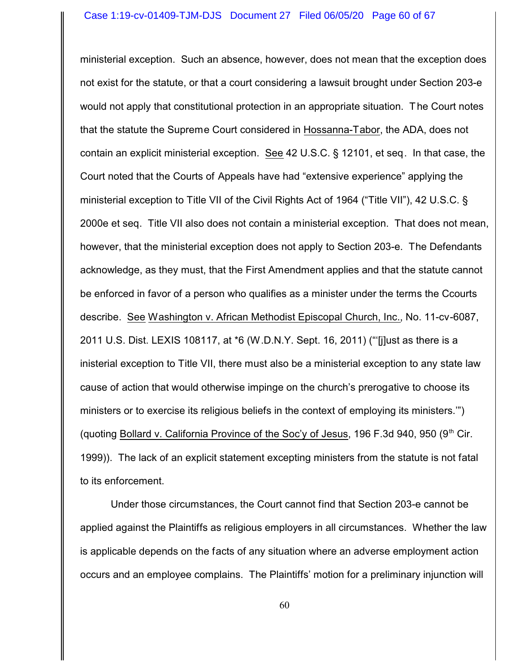ministerial exception. Such an absence, however, does not mean that the exception does not exist for the statute, or that a court considering a lawsuit brought under Section 203-e would not apply that constitutional protection in an appropriate situation. The Court notes that the statute the Supreme Court considered in Hossanna-Tabor, the ADA, does not contain an explicit ministerial exception. See 42 U.S.C. § 12101, et seq. In that case, the Court noted that the Courts of Appeals have had "extensive experience" applying the ministerial exception to Title VII of the Civil Rights Act of 1964 ("Title VII"), 42 U.S.C. § 2000e et seq. Title VII also does not contain a ministerial exception. That does not mean, however, that the ministerial exception does not apply to Section 203-e. The Defendants acknowledge, as they must, that the First Amendment applies and that the statute cannot be enforced in favor of a person who qualifies as a minister under the terms the Ccourts describe. See Washington v. African Methodist Episcopal Church, Inc., No. 11-cv-6087, 2011 U.S. Dist. LEXIS 108117, at \*6 (W.D.N.Y. Sept. 16, 2011) ("'[j]ust as there is a inisterial exception to Title VII, there must also be a ministerial exception to any state law cause of action that would otherwise impinge on the church's prerogative to choose its ministers or to exercise its religious beliefs in the context of employing its ministers.'") (quoting Bollard v. California Province of the Soc'y of Jesus, 196 F.3d 940, 950 (9<sup>th</sup> Cir. 1999)). The lack of an explicit statement excepting ministers from the statute is not fatal to its enforcement.

Under those circumstances, the Court cannot find that Section 203-e cannot be applied against the Plaintiffs as religious employers in all circumstances. Whether the law is applicable depends on the facts of any situation where an adverse employment action occurs and an employee complains. The Plaintiffs' motion for a preliminary injunction will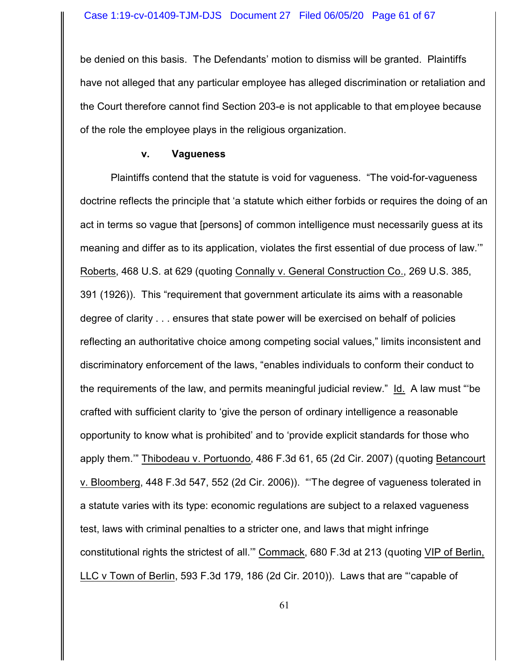be denied on this basis. The Defendants' motion to dismiss will be granted. Plaintiffs have not alleged that any particular employee has alleged discrimination or retaliation and the Court therefore cannot find Section 203-e is not applicable to that employee because of the role the employee plays in the religious organization.

### **v. Vagueness**

Plaintiffs contend that the statute is void for vagueness. "The void-for-vagueness doctrine reflects the principle that 'a statute which either forbids or requires the doing of an act in terms so vague that [persons] of common intelligence must necessarily guess at its meaning and differ as to its application, violates the first essential of due process of law.'" Roberts, 468 U.S. at 629 (quoting Connally v. General Construction Co., 269 U.S. 385, 391 (1926)). This "requirement that government articulate its aims with a reasonable degree of clarity . . . ensures that state power will be exercised on behalf of policies reflecting an authoritative choice among competing social values," limits inconsistent and discriminatory enforcement of the laws, "enables individuals to conform their conduct to the requirements of the law, and permits meaningful judicial review." Id. A law must "'be crafted with sufficient clarity to 'give the person of ordinary intelligence a reasonable opportunity to know what is prohibited' and to 'provide explicit standards for those who apply them.'" Thibodeau v. Portuondo, 486 F.3d 61, 65 (2d Cir. 2007) (quoting Betancourt v. Bloomberg, 448 F.3d 547, 552 (2d Cir. 2006)). "'The degree of vagueness tolerated in a statute varies with its type: economic regulations are subject to a relaxed vagueness test, laws with criminal penalties to a stricter one, and laws that might infringe constitutional rights the strictest of all.'" Commack, 680 F.3d at 213 (quoting VIP of Berlin, LLC v Town of Berlin, 593 F.3d 179, 186 (2d Cir. 2010)). Laws that are "'capable of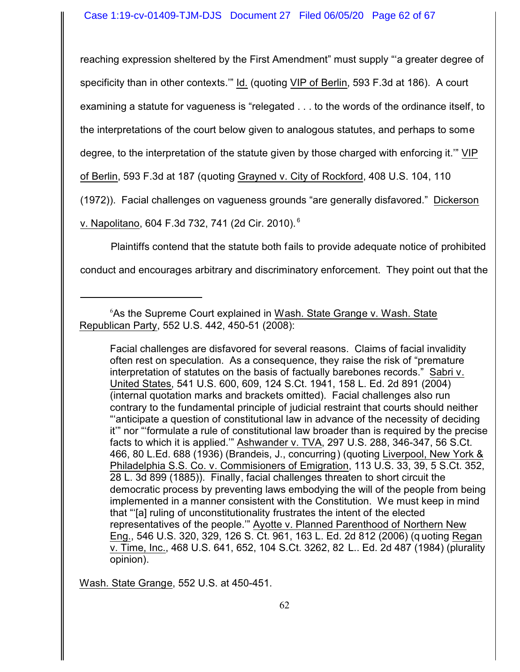reaching expression sheltered by the First Amendment" must supply "'a greater degree of specificity than in other contexts.'" Id. (quoting VIP of Berlin, 593 F.3d at 186). A court examining a statute for vagueness is "relegated . . . to the words of the ordinance itself, to the interpretations of the court below given to analogous statutes, and perhaps to some degree, to the interpretation of the statute given by those charged with enforcing it.'" VIP of Berlin, 593 F.3d at 187 (quoting Grayned v. City of Rockford, 408 U.S. 104, 110

(1972)). Facial challenges on vagueness grounds "are generally disfavored." Dickerson

v. Napolitano, 604 F.3d 732, 741 (2d Cir. 2010). <sup>6</sup>

Plaintiffs contend that the statute both fails to provide adequate notice of prohibited

conduct and encourages arbitrary and discriminatory enforcement. They point out that the

 $6$ As the Supreme Court explained in Wash. State Grange v. Wash. State Republican Party, 552 U.S. 442, 450-51 (2008):

Facial challenges are disfavored for several reasons. Claims of facial invalidity often rest on speculation. As a consequence, they raise the risk of "premature interpretation of statutes on the basis of factually barebones records." Sabri v. United States, 541 U.S. 600, 609, 124 S.Ct. 1941, 158 L. Ed. 2d 891 (2004) (internal quotation marks and brackets omitted). Facial challenges also run contrary to the fundamental principle of judicial restraint that courts should neither "'anticipate a question of constitutional law in advance of the necessity of deciding it'" nor "'formulate a rule of constitutional law broader than is required by the precise facts to which it is applied.'" Ashwander v. TVA, 297 U.S. 288, 346-347, 56 S.Ct. 466, 80 L.Ed. 688 (1936) (Brandeis, J., concurring) (quoting Liverpool, New York & Philadelphia S.S. Co. v. Commisioners of Emigration, 113 U.S. 33, 39, 5 S.Ct. 352, 28 L. 3d 899 (1885)). Finally, facial challenges threaten to short circuit the democratic process by preventing laws embodying the will of the people from being implemented in a manner consistent with the Constitution. We must keep in mind that "'[a] ruling of unconstitutionality frustrates the intent of the elected representatives of the people.'" Ayotte v. Planned Parenthood of Northern New Eng., 546 U.S. 320, 329, 126 S. Ct. 961, 163 L. Ed. 2d 812 (2006) (q uoting Regan v. Time, Inc., 468 U.S. 641, 652, 104 S.Ct. 3262, 82 L.. Ed. 2d 487 (1984) (plurality opinion).

Wash. State Grange, 552 U.S. at 450-451.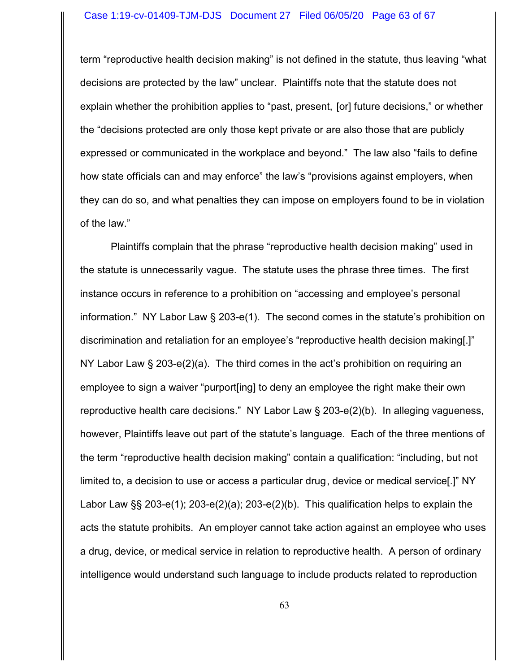term "reproductive health decision making" is not defined in the statute, thus leaving "what decisions are protected by the law" unclear. Plaintiffs note that the statute does not explain whether the prohibition applies to "past, present, [or] future decisions," or whether the "decisions protected are only those kept private or are also those that are publicly expressed or communicated in the workplace and beyond." The law also "fails to define how state officials can and may enforce" the law's "provisions against employers, when they can do so, and what penalties they can impose on employers found to be in violation of the law."

Plaintiffs complain that the phrase "reproductive health decision making" used in the statute is unnecessarily vague. The statute uses the phrase three times. The first instance occurs in reference to a prohibition on "accessing and employee's personal information." NY Labor Law § 203-e(1). The second comes in the statute's prohibition on discrimination and retaliation for an employee's "reproductive health decision making[.]" NY Labor Law § 203-e(2)(a). The third comes in the act's prohibition on requiring an employee to sign a waiver "purport[ing] to deny an employee the right make their own reproductive health care decisions." NY Labor Law § 203-e(2)(b). In alleging vagueness, however, Plaintiffs leave out part of the statute's language. Each of the three mentions of the term "reproductive health decision making" contain a qualification: "including, but not limited to, a decision to use or access a particular drug, device or medical service[.]" NY Labor Law §§ 203-e(1); 203-e(2)(a); 203-e(2)(b). This qualification helps to explain the acts the statute prohibits. An employer cannot take action against an employee who uses a drug, device, or medical service in relation to reproductive health. A person of ordinary intelligence would understand such language to include products related to reproduction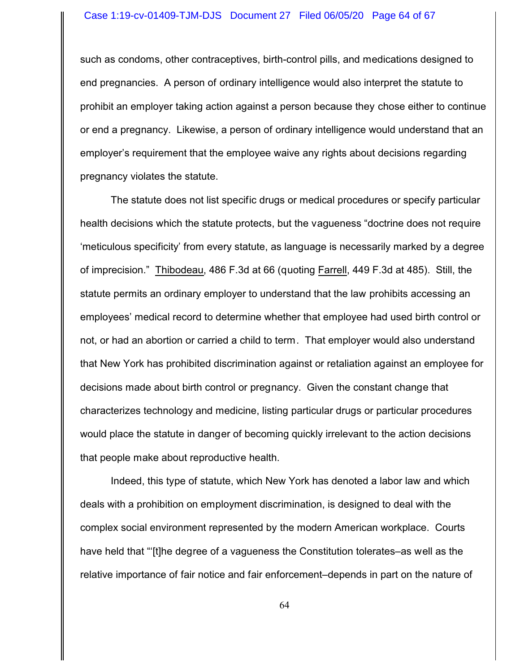such as condoms, other contraceptives, birth-control pills, and medications designed to end pregnancies. A person of ordinary intelligence would also interpret the statute to prohibit an employer taking action against a person because they chose either to continue or end a pregnancy. Likewise, a person of ordinary intelligence would understand that an employer's requirement that the employee waive any rights about decisions regarding pregnancy violates the statute.

The statute does not list specific drugs or medical procedures or specify particular health decisions which the statute protects, but the vagueness "doctrine does not require 'meticulous specificity' from every statute, as language is necessarily marked by a degree of imprecision." Thibodeau, 486 F.3d at 66 (quoting Farrell, 449 F.3d at 485). Still, the statute permits an ordinary employer to understand that the law prohibits accessing an employees' medical record to determine whether that employee had used birth control or not, or had an abortion or carried a child to term. That employer would also understand that New York has prohibited discrimination against or retaliation against an employee for decisions made about birth control or pregnancy. Given the constant change that characterizes technology and medicine, listing particular drugs or particular procedures would place the statute in danger of becoming quickly irrelevant to the action decisions that people make about reproductive health.

Indeed, this type of statute, which New York has denoted a labor law and which deals with a prohibition on employment discrimination, is designed to deal with the complex social environment represented by the modern American workplace. Courts have held that "'[t]he degree of a vagueness the Constitution tolerates–as well as the relative importance of fair notice and fair enforcement–depends in part on the nature of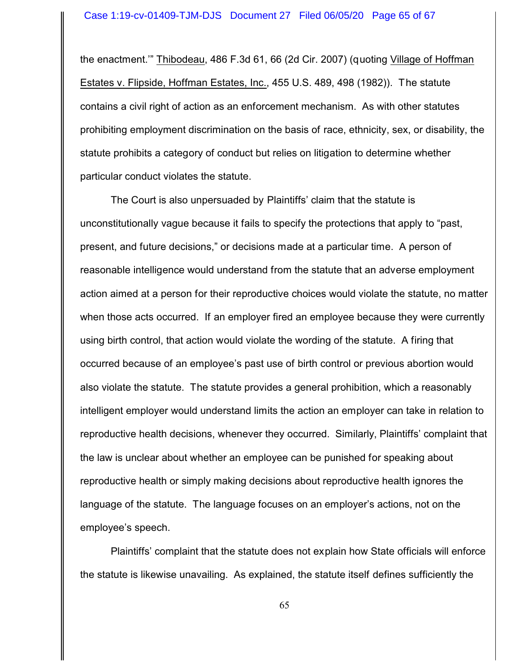the enactment.'" Thibodeau, 486 F.3d 61, 66 (2d Cir. 2007) (quoting Village of Hoffman Estates v. Flipside, Hoffman Estates, Inc., 455 U.S. 489, 498 (1982)). The statute contains a civil right of action as an enforcement mechanism. As with other statutes prohibiting employment discrimination on the basis of race, ethnicity, sex, or disability, the statute prohibits a category of conduct but relies on litigation to determine whether particular conduct violates the statute.

The Court is also unpersuaded by Plaintiffs' claim that the statute is unconstitutionally vague because it fails to specify the protections that apply to "past, present, and future decisions," or decisions made at a particular time. A person of reasonable intelligence would understand from the statute that an adverse employment action aimed at a person for their reproductive choices would violate the statute, no matter when those acts occurred. If an employer fired an employee because they were currently using birth control, that action would violate the wording of the statute. A firing that occurred because of an employee's past use of birth control or previous abortion would also violate the statute. The statute provides a general prohibition, which a reasonably intelligent employer would understand limits the action an employer can take in relation to reproductive health decisions, whenever they occurred. Similarly, Plaintiffs' complaint that the law is unclear about whether an employee can be punished for speaking about reproductive health or simply making decisions about reproductive health ignores the language of the statute. The language focuses on an employer's actions, not on the employee's speech.

Plaintiffs' complaint that the statute does not explain how State officials will enforce the statute is likewise unavailing. As explained, the statute itself defines sufficiently the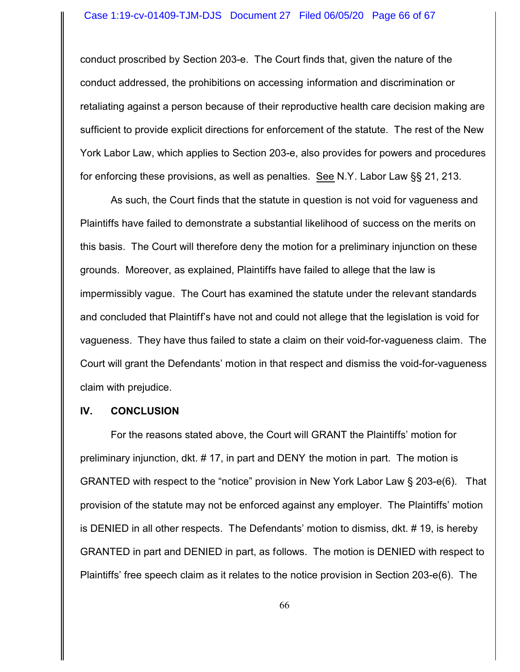conduct proscribed by Section 203-e. The Court finds that, given the nature of the conduct addressed, the prohibitions on accessing information and discrimination or retaliating against a person because of their reproductive health care decision making are sufficient to provide explicit directions for enforcement of the statute. The rest of the New York Labor Law, which applies to Section 203-e, also provides for powers and procedures for enforcing these provisions, as well as penalties. See N.Y. Labor Law §§ 21, 213.

As such, the Court finds that the statute in question is not void for vagueness and Plaintiffs have failed to demonstrate a substantial likelihood of success on the merits on this basis. The Court will therefore deny the motion for a preliminary injunction on these grounds. Moreover, as explained, Plaintiffs have failed to allege that the law is impermissibly vague. The Court has examined the statute under the relevant standards and concluded that Plaintiff's have not and could not allege that the legislation is void for vagueness. They have thus failed to state a claim on their void-for-vagueness claim. The Court will grant the Defendants' motion in that respect and dismiss the void-for-vagueness claim with prejudice.

### **IV. CONCLUSION**

For the reasons stated above, the Court will GRANT the Plaintiffs' motion for preliminary injunction, dkt. # 17, in part and DENY the motion in part. The motion is GRANTED with respect to the "notice" provision in New York Labor Law § 203-e(6). That provision of the statute may not be enforced against any employer. The Plaintiffs' motion is DENIED in all other respects. The Defendants' motion to dismiss, dkt. # 19, is hereby GRANTED in part and DENIED in part, as follows. The motion is DENIED with respect to Plaintiffs' free speech claim as it relates to the notice provision in Section 203-e(6). The